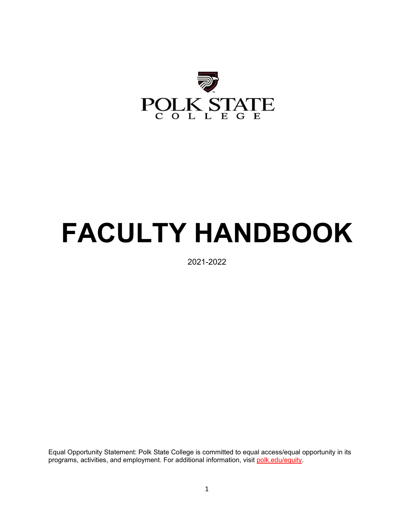

# **FACULTY HANDBOOK**

2021-2022

Equal Opportunity Statement: Polk State College is committed to equal access/equal opportunity in its programs, activities, and employment. For additional information, visit [polk.edu/equity.](https://www.polk.edu/equity-diversity/)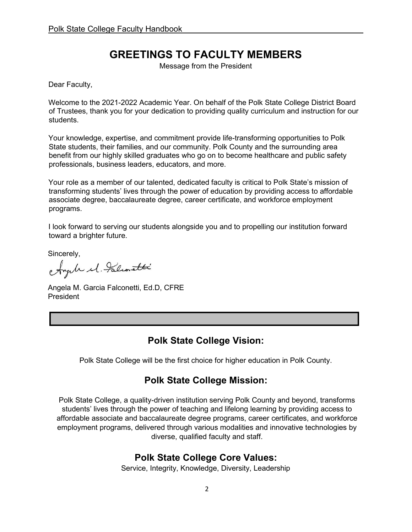# **GREETINGS TO FACULTY MEMBERS**

Message from the President

Dear Faculty,

Welcome to the 2021-2022 Academic Year. On behalf of the Polk State College District Board of Trustees, thank you for your dedication to providing quality curriculum and instruction for our students.

Your knowledge, expertise, and commitment provide life-transforming opportunities to Polk State students, their families, and our community. Polk County and the surrounding area benefit from our highly skilled graduates who go on to become healthcare and public safety professionals, business leaders, educators, and more.

Your role as a member of our talented, dedicated faculty is critical to Polk State's mission of transforming students' lives through the power of education by providing access to affordable associate degree, baccalaureate degree, career certificate, and workforce employment programs.

I look forward to serving our students alongside you and to propelling our institution forward toward a brighter future.

Sincerely,

Ayale el Falconatti

Angela M. Garcia Falconetti, Ed.D, CFRE President

### **Polk State College Vision:**

Polk State College will be the first choice for higher education in Polk County.

### **Polk State College Mission:**

Polk State College, a quality-driven institution serving Polk County and beyond, transforms students' lives through the power of teaching and lifelong learning by providing access to affordable associate and baccalaureate degree programs, career certificates, and workforce employment programs, delivered through various modalities and innovative technologies by diverse, qualified faculty and staff.

### **Polk State College Core Values:**

Service, Integrity, Knowledge, Diversity, Leadership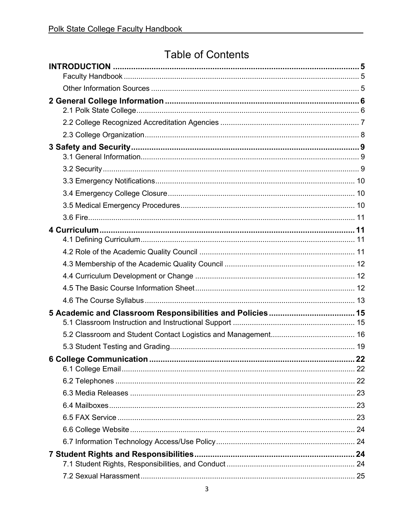# **Table of Contents**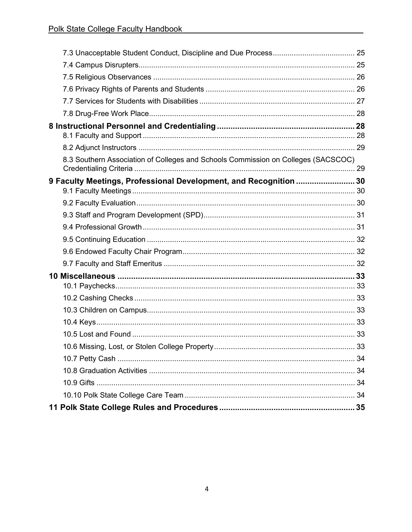| 8.3 Southern Association of Colleges and Schools Commission on Colleges (SACSCOC) |  |
|-----------------------------------------------------------------------------------|--|
| 9 Faculty Meetings, Professional Development, and Recognition  30                 |  |
|                                                                                   |  |
|                                                                                   |  |
|                                                                                   |  |
|                                                                                   |  |
|                                                                                   |  |
|                                                                                   |  |
|                                                                                   |  |
|                                                                                   |  |
|                                                                                   |  |
|                                                                                   |  |
|                                                                                   |  |
|                                                                                   |  |
|                                                                                   |  |
|                                                                                   |  |
|                                                                                   |  |
|                                                                                   |  |
|                                                                                   |  |
|                                                                                   |  |
|                                                                                   |  |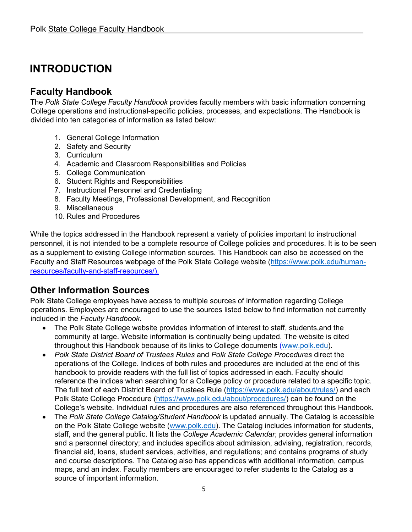# <span id="page-4-0"></span>**INTRODUCTION**

### <span id="page-4-1"></span>**Faculty Handbook**

The *Polk State College Faculty Handbook* provides faculty members with basic information concerning College operations and instructional-specific policies, processes, and expectations. The Handbook is divided into ten categories of information as listed below:

- 1. General College Information
- 2. Safety and Security
- 3. Curriculum
- 4. Academic and Classroom Responsibilities and Policies
- 5. College Communication
- 6. Student Rights and Responsibilities
- 7. Instructional Personnel and Credentialing
- 8. Faculty Meetings, Professional Development, and Recognition
- 9. Miscellaneous
- 10. Rules and Procedures

While the topics addressed in the Handbook represent a variety of policies important to instructional personnel, it is not intended to be a complete resource of College policies and procedures. It is to be seen as a supplement to existing College information sources. This Handbook can also be accessed on the Faculty and Staff Resources webpage of the Polk State College website [\(https://www.polk.edu/human](https://www.polk.edu/human-)[resources/faculty-and-staff-resources/\)](https://www.polk.edu/human-resources/faculty-and-staff-resources/).

### <span id="page-4-2"></span>**Other Information Sources**

Polk State College employees have access to multiple sources of information regarding College operations. Employees are encouraged to use the sources listed below to find information not currently included in the *Faculty Handbook*.

- The Polk State College website provides information of interest to staff, students,and the community at large. Website information is continually being updated. The website is cited throughout this Handbook because of its links to College documents [\(www.polk.edu\)](http://www.polk.edu/).
- *Polk State District Board of Trustees Rules* and *Polk State College Procedures* direct the operations of the College. Indices of both rules and procedures are included at the end of this handbook to provide readers with the full list of topics addressed in each. Faculty should reference the indices when searching for a College policy or procedure related to a specific topic. The full text of each District Board of Trustees Rule [\(https://www.polk.edu/about/rules/\)](https://www.polk.edu/about/rules/) and each Polk State College Procedure [\(https://www.polk.edu/about/procedures/\)](https://www.polk.edu/about/procedures/) can be found on the College's website. Individual rules and procedures are also referenced throughout this Handbook.
- The *Polk State College Catalog/Student Handbook* is updated annually. The Catalog is accessible on the Polk State College website [\(www.polk.edu\)](http://www.polk.edu/). The Catalog includes information for students, staff, and the general public. It lists the *College Academic Calendar*; provides general information and a personnel directory; and includes specifics about admission, advising, registration, records, financial aid, loans, student services, activities, and regulations; and contains programs of study and course descriptions. The Catalog also has appendices with additional information, campus maps, and an index. Faculty members are encouraged to refer students to the Catalog as a source of important information.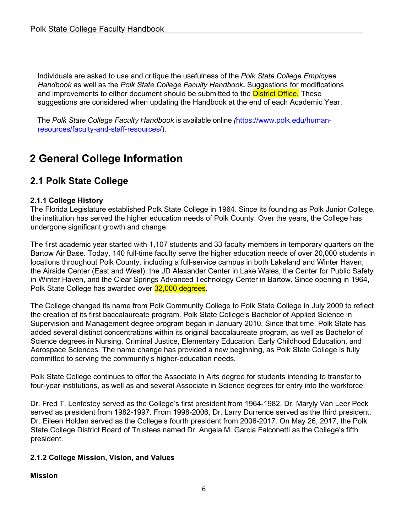Individuals are asked to use and critique the usefulness of the *Polk State College Employee Handbook* as well as the *Polk State College Faculty Handbook.* Suggestions for modifications and improvements to either document should be submitted to the **District Office.** These suggestions are considered when updating the Handbook at the end of each Academic Year.

The *Polk State College Faculty Handbook* is available online *(*[https://www.polk.edu/human](https://www.polk.edu/human-resources/faculty-and-staff-resources/)[resources/faculty-and-staff-resources/\)](https://www.polk.edu/human-resources/faculty-and-staff-resources/).

# <span id="page-5-0"></span>**2 General College Information**

### <span id="page-5-1"></span>**2.1 Polk State College**

#### **2.1.1 College History**

The Florida Legislature established Polk State College in 1964. Since its founding as Polk Junior College, the institution has served the higher education needs of Polk County. Over the years, the College has undergone significant growth and change.

The first academic year started with 1,107 students and 33 faculty members in temporary quarters on the Bartow Air Base. Today, 140 full-time faculty serve the higher education needs of over 20,000 students in locations throughout Polk County, including a full-service campus in both Lakeland and Winter Haven, the Airside Center (East and West), the JD Alexander Center in Lake Wales, the Center for Public Safety in Winter Haven, and the Clear Springs Advanced Technology Center in Bartow. Since opening in 1964, Polk State College has awarded over 32,000 degrees.

The College changed its name from Polk Community College to Polk State College in July 2009 to reflect the creation of its first baccalaureate program. Polk State College's Bachelor of Applied Science in Supervision and Management degree program began in January 2010. Since that time, Polk State has added several distinct concentrations within its original baccalaureate program, as well as Bachelor of Science degrees in Nursing, Criminal Justice, Elementary Education, Early Childhood Education, and Aerospace Sciences. The name change has provided a new beginning, as Polk State College is fully committed to serving the community's higher-education needs.

Polk State College continues to offer the Associate in Arts degree for students intending to transfer to four-year institutions, as well as and several Associate in Science degrees for entry into the workforce.

Dr. Fred T. Lenfestey served as the College's first president from 1964-1982. Dr. Maryly Van Leer Peck served as president from 1982-1997. From 1998-2006, Dr. Larry Durrence served as the third president. Dr. Eileen Holden served as the College's fourth president from 2006-2017. On May 26, 2017, the Polk State College District Board of Trustees named Dr. Angela M. Garcia Falconetti as the College's fifth president.

#### **2.1.2 College Mission, Vision, and Values**

#### **Mission**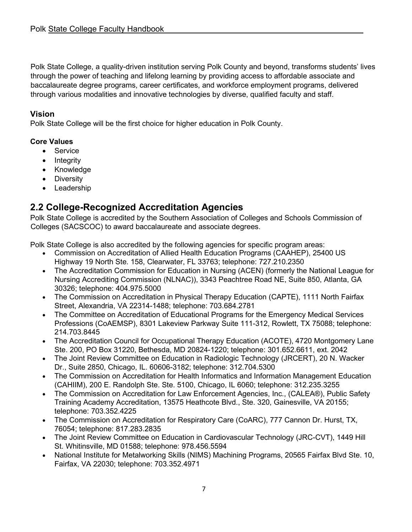Polk State College, a quality-driven institution serving Polk County and beyond, transforms students' lives through the power of teaching and lifelong learning by providing access to affordable associate and baccalaureate degree programs, career certificates, and workforce employment programs, delivered through various modalities and innovative technologies by diverse, qualified faculty and staff.

#### **Vision**

Polk State College will be the first choice for higher education in Polk County.

#### **Core Values**

- Service
- Integrity
- Knowledge
- Diversity
- Leadership

### <span id="page-6-0"></span>**2.2 College-Recognized Accreditation Agencies**

Polk State College is accredited by the Southern Association of Colleges and Schools Commission of Colleges (SACSCOC) to award baccalaureate and associate degrees.

Polk State College is also accredited by the following agencies for specific program areas:

- Commission on Accreditation of Allied Health Education Programs (CAAHEP), 25400 US Highway 19 North Ste. 158, Clearwater, FL 33763; telephone: 727.210.2350
- The Accreditation Commission for Education in Nursing (ACEN) (formerly the National League for Nursing Accrediting Commission (NLNAC)), 3343 Peachtree Road NE, Suite 850, Atlanta, GA 30326; telephone: 404.975.5000
- The Commission on Accreditation in Physical Therapy Education (CAPTE), 1111 North Fairfax Street, Alexandria, VA 22314-1488; telephone: 703.684.2781
- The Committee on Accreditation of Educational Programs for the Emergency Medical Services Professions (CoAEMSP), 8301 Lakeview Parkway Suite 111-312, Rowlett, TX 75088; telephone: 214.703.8445
- The Accreditation Council for Occupational Therapy Education (ACOTE), 4720 Montgomery Lane Ste. 200, PO Box 31220, Bethesda, MD 20824-1220; telephone: 301.652.6611, ext. 2042
- The Joint Review Committee on Education in Radiologic Technology (JRCERT), 20 N. Wacker Dr., Suite 2850, Chicago, IL. 60606-3182; telephone: 312.704.5300
- The Commission on Accreditation for Health Informatics and Information Management Education (CAHIIM), 200 E. Randolph Ste. Ste. 5100, Chicago, IL 6060; telephone: 312.235.3255
- The Commission on Accreditation for Law Enforcement Agencies, Inc., (CALEA®), Public Safety Training Academy Accreditation, 13575 Heathcote Blvd., Ste. 320, Gainesville, VA 20155; telephone: 703.352.4225
- The Commission on Accreditation for Respiratory Care (CoARC), 777 Cannon Dr. Hurst, TX, 76054; telephone: 817.283.2835
- The Joint Review Committee on Education in Cardiovascular Technology (JRC-CVT), 1449 Hill St. Whitinsville, MD 01588; telephone: 978.456.5594
- National Institute for Metalworking Skills (NIMS) Machining Programs, 20565 Fairfax Blvd Ste. 10, Fairfax, VA 22030; telephone: 703.352.4971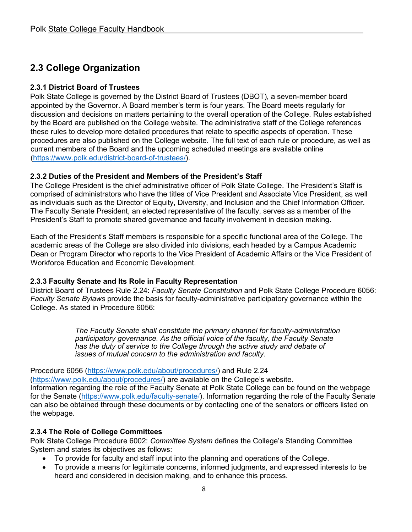## <span id="page-7-0"></span>**2.3 College Organization**

#### **2.3.1 District Board of Trustees**

Polk State College is governed by the District Board of Trustees (DBOT), a seven-member board appointed by the Governor. A Board member's term is four years. The Board meets regularly for discussion and decisions on matters pertaining to the overall operation of the College. Rules established by the Board are published on the College website. The administrative staff of the College references these rules to develop more detailed procedures that relate to specific aspects of operation. These procedures are also published on the College website. The full text of each rule or procedure, as well as current members of the Board and the upcoming scheduled meetings are available online [\(https://www.polk.edu/district-board-of-trustees/\)](https://www.polk.edu/district-board-of-trustees/).

#### **2.3.2 Duties of the President and Members of the President's Staff**

The College President is the chief administrative officer of Polk State College. The President's Staff is comprised of administrators who have the titles of Vice President and Associate Vice President, as well as individuals such as the Director of Equity, Diversity, and Inclusion and the Chief Information Officer. The Faculty Senate President, an elected representative of the faculty, serves as a member of the President's Staff to promote shared governance and faculty involvement in decision making.

Each of the President's Staff members is responsible for a specific functional area of the College. The academic areas of the College are also divided into divisions, each headed by a Campus Academic Dean or Program Director who reports to the Vice President of Academic Affairs or the Vice President of Workforce Education and Economic Development.

#### **2.3.3 Faculty Senate and Its Role in Faculty Representation**

District Board of Trustees Rule 2.24: *Faculty Senate Constitution* and Polk State College Procedure 6056: *Faculty Senate Bylaws* provide the basis for faculty-administrative participatory governance within the College. As stated in Procedure 6056:

> *The Faculty Senate shall constitute the primary channel for faculty-administration participatory governance. As the official voice of the faculty, the Faculty Senate has the duty of service to the College through the active study and debate of issues of mutual concern to the administration and faculty.*

Procedure 6056 [\(https://www.polk.edu/about/procedures/\)](https://www.polk.edu/about/procedures/) and Rule 2.24 [\(https://www.polk.edu/about/procedures/\)](https://www.polk.edu/about/procedures/) are available on the College's website. Information regarding the role of the Faculty Senate at Polk State College can be found on the webpage for the Senate [\(https://www.polk.edu/faculty-senate](https://www.polk.edu/faculty-senate/)[/](https://www.polk.edu/faculty-senate/)). Information regarding the role of the Faculty Senate can also be obtained through these documents or by contacting one of the senators or officers listed on the webpage.

#### **2.3.4 The Role of College Committees**

Polk State College Procedure 6002: *Committee System* defines the College's Standing Committee System and states its objectives as follows:

- To provide for faculty and staff input into the planning and operations of the College.
- To provide a means for legitimate concerns, informed judgments, and expressed interests to be heard and considered in decision making, and to enhance this process.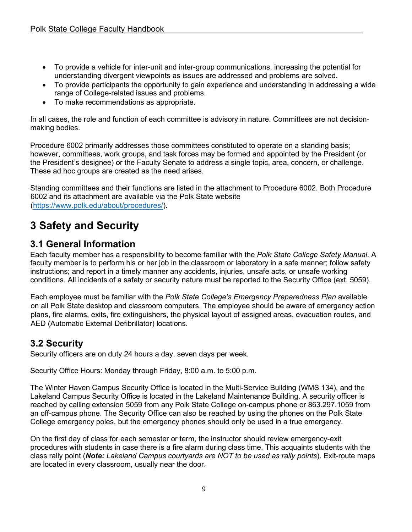- To provide a vehicle for inter-unit and inter-group communications, increasing the potential for understanding divergent viewpoints as issues are addressed and problems are solved.
- To provide participants the opportunity to gain experience and understanding in addressing a wide range of College-related issues and problems.
- To make recommendations as appropriate.

In all cases, the role and function of each committee is advisory in nature. Committees are not decisionmaking bodies.

Procedure 6002 primarily addresses those committees constituted to operate on a standing basis; however, committees, work groups, and task forces may be formed and appointed by the President (or the President's designee) or the Faculty Senate to address a single topic, area, concern, or challenge. These ad hoc groups are created as the need arises.

Standing committees and their functions are listed in the attachment to Procedure 6002. Both Procedure 6002 and its attachment are available via the Polk State website [\(https://www.polk.edu/about/procedures/\)](https://www.polk.edu/about/procedures/).

# <span id="page-8-0"></span>**3 Safety and Security**

### <span id="page-8-1"></span>**3.1 General Information**

Each faculty member has a responsibility to become familiar with the *Polk State College Safety Manual*. A faculty member is to perform his or her job in the classroom or laboratory in a safe manner; follow safety instructions; and report in a timely manner any accidents, injuries, unsafe acts, or unsafe working conditions. All incidents of a safety or security nature must be reported to the Security Office (ext. 5059).

Each employee must be familiar with the *Polk State College's Emergency Preparedness Plan* available on all Polk State desktop and classroom computers. The employee should be aware of emergency action plans, fire alarms, exits, fire extinguishers, the physical layout of assigned areas, evacuation routes, and AED (Automatic External Defibrillator) locations.

### <span id="page-8-2"></span>**3.2 Security**

Security officers are on duty 24 hours a day, seven days per week.

Security Office Hours: Monday through Friday, 8:00 a.m. to 5:00 p.m.

The Winter Haven Campus Security Office is located in the Multi-Service Building (WMS 134), and the Lakeland Campus Security Office is located in the Lakeland Maintenance Building. A security officer is reached by calling extension 5059 from any Polk State College on-campus phone or 863.297.1059 from an off-campus phone. The Security Office can also be reached by using the phones on the Polk State College emergency poles, but the emergency phones should only be used in a true emergency.

On the first day of class for each semester or term, the instructor should review emergency-exit procedures with students in case there is a fire alarm during class time. This acquaints students with the class rally point (*Note: Lakeland Campus courtyards are NOT to be used as rally points*). Exit-route maps are located in every classroom, usually near the door.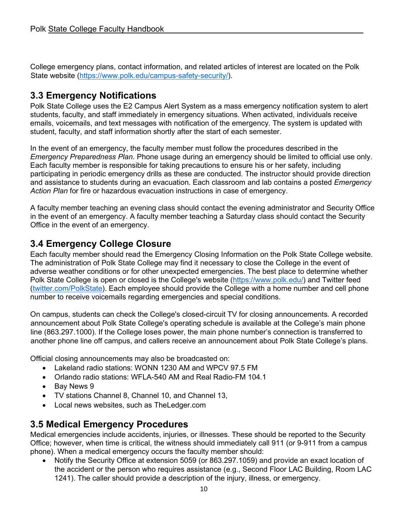College emergency plans, contact information, and related articles of interest are located on the Polk State website [\(https://www.polk.edu/campus-safety-security/\).](https://www.polk.edu/campus-safety-security/).)

### <span id="page-9-0"></span>**3.3 Emergency Notifications**

Polk State College uses the E2 Campus Alert System as a mass emergency notification system to alert students, faculty, and staff immediately in emergency situations. When activated, individuals receive emails, voicemails, and text messages with notification of the emergency. The system is updated with student, faculty, and staff information shortly after the start of each semester.

In the event of an emergency, the faculty member must follow the procedures described in the *Emergency Preparedness Plan*. Phone usage during an emergency should be limited to official use only. Each faculty member is responsible for taking precautions to ensure his or her safety, including participating in periodic emergency drills as these are conducted. The instructor should provide direction and assistance to students during an evacuation. Each classroom and lab contains a posted *Emergency Action Plan* for fire or hazardous evacuation instructions in case of emergency.

A faculty member teaching an evening class should contact the evening administrator and Security Office in the event of an emergency. A faculty member teaching a Saturday class should contact the Security Office in the event of an emergency.

### <span id="page-9-1"></span>**3.4 Emergency College Closure**

Each faculty member should read the Emergency Closing Information on the Polk State College website. The administration of Polk State College may find it necessary to close the College in the event of adverse weather conditions or for other unexpected emergencies. The best place to determine whether Polk State College is open or closed is the College's website [\(https://www.polk.edu/\)](https://www.polk.edu/) and Twitter feed [\(twitter.com/PolkState\)](https://twitter.com/PolkState). Each employee should provide the College with a home number and cell phone number to receive voicemails regarding emergencies and special conditions.

On campus, students can check the College's closed-circuit TV for closing announcements. A recorded announcement about Polk State College's operating schedule is available at the College's main phone line (863.297.1000). If the College loses power, the main phone number's connection is transferred to another phone line off campus, and callers receive an announcement about Polk State College's plans.

Official closing announcements may also be broadcasted on:

- Lakeland radio stations: WONN 1230 AM and WPCV 97.5 FM
- Orlando radio stations: WFLA-540 AM and Real Radio-FM 104.1
- Bay News 9
- TV stations Channel 8, Channel 10, and Channel 13,
- Local news websites, such as TheLedger.com

### <span id="page-9-2"></span>**3.5 Medical Emergency Procedures**

Medical emergencies include accidents, injuries, or illnesses. These should be reported to the Security Office; however, when time is critical, the witness should immediately call 911 (or 9-911 from a campus phone). When a medical emergency occurs the faculty member should:

• Notify the Security Office at extension 5059 (or 863.297.1059) and provide an exact location of the accident or the person who requires assistance (e.g., Second Floor LAC Building, Room LAC 1241). The caller should provide a description of the injury, illness, or emergency.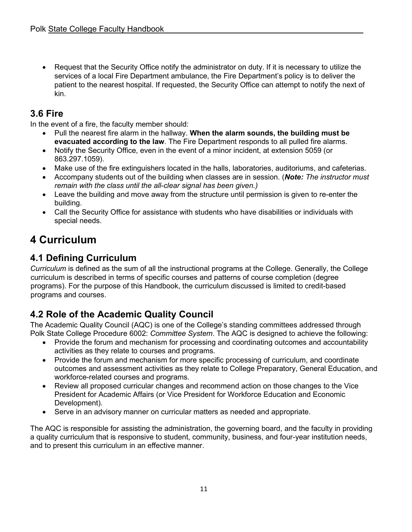• Request that the Security Office notify the administrator on duty. If it is necessary to utilize the services of a local Fire Department ambulance, the Fire Department's policy is to deliver the patient to the nearest hospital. If requested, the Security Office can attempt to notify the next of kin.

### <span id="page-10-0"></span>**3.6 Fire**

In the event of a fire, the faculty member should:

- Pull the nearest fire alarm in the hallway. **When the alarm sounds, the building must be evacuated according to the law**. The Fire Department responds to all pulled fire alarms.
- Notify the Security Office, even in the event of a minor incident, at extension 5059 (or 863.297.1059).
- Make use of the fire extinguishers located in the halls, laboratories, auditoriums, and cafeterias.
- Accompany students out of the building when classes are in session. (*Note: The instructor must remain with the class until the all-clear signal has been given.)*
- Leave the building and move away from the structure until permission is given to re-enter the building.
- Call the Security Office for assistance with students who have disabilities or individuals with special needs.

# <span id="page-10-1"></span>**4 Curriculum**

# <span id="page-10-2"></span>**4.1 Defining Curriculum**

*Curriculum* is defined as the sum of all the instructional programs at the College. Generally, the College curriculum is described in terms of specific courses and patterns of course completion (degree programs). For the purpose of this Handbook, the curriculum discussed is limited to credit-based programs and courses.

# <span id="page-10-3"></span>**4.2 Role of the Academic Quality Council**

The Academic Quality Council (AQC) is one of the College's standing committees addressed through Polk State College Procedure 6002: *Committee System*. The AQC is designed to achieve the following:

- Provide the forum and mechanism for processing and coordinating outcomes and accountability activities as they relate to courses and programs.
- Provide the forum and mechanism for more specific processing of curriculum, and coordinate outcomes and assessment activities as they relate to College Preparatory, General Education, and workforce-related courses and programs.
- Review all proposed curricular changes and recommend action on those changes to the Vice President for Academic Affairs (or Vice President for Workforce Education and Economic Development).
- Serve in an advisory manner on curricular matters as needed and appropriate.

The AQC is responsible for assisting the administration, the governing board, and the faculty in providing a quality curriculum that is responsive to student, community, business, and four-year institution needs, and to present this curriculum in an effective manner.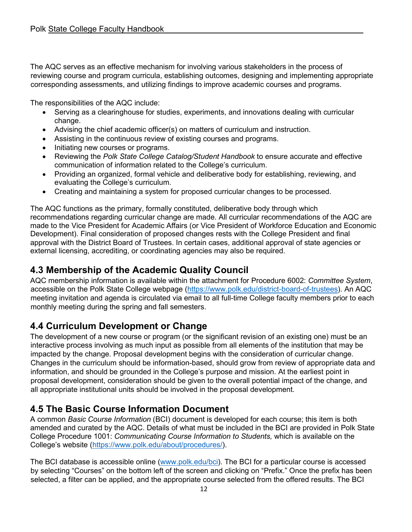The AQC serves as an effective mechanism for involving various stakeholders in the process of reviewing course and program curricula, establishing outcomes, designing and implementing appropriate corresponding assessments, and utilizing findings to improve academic courses and programs.

The responsibilities of the AQC include:

- Serving as a clearinghouse for studies, experiments, and innovations dealing with curricular change.
- Advising the chief academic officer(s) on matters of curriculum and instruction.
- Assisting in the continuous review of existing courses and programs.
- Initiating new courses or programs.
- Reviewing the *Polk State College Catalog/Student Handbook* to ensure accurate and effective communication of information related to the College's curriculum.
- Providing an organized, formal vehicle and deliberative body for establishing, reviewing, and evaluating the College's curriculum.
- Creating and maintaining a system for proposed curricular changes to be processed.

The AQC functions as the primary, formally constituted, deliberative body through which recommendations regarding curricular change are made. All curricular recommendations of the AQC are made to the Vice President for Academic Affairs (or Vice President of Workforce Education and Economic Development). Final consideration of proposed changes rests with the College President and final approval with the District Board of Trustees. In certain cases, additional approval of state agencies or external licensing, accrediting, or coordinating agencies may also be required.

### <span id="page-11-0"></span>**4.3 Membership of the Academic Quality Council**

AQC membership information is available within the attachment for Procedure 6002: *Committee System*, accessible on the Polk State College webpage [\(https://www.polk.edu/district-board-of-trustees\)](https://www.polk.edu/district-board-of-trustees). An AQC meeting invitation and agenda is circulated via email to all full-time College faculty members prior to each monthly meeting during the spring and fall semesters.

### <span id="page-11-1"></span>**4.4 Curriculum Development or Change**

The development of a new course or program (or the significant revision of an existing one) must be an interactive process involving as much input as possible from all elements of the institution that may be impacted by the change. Proposal development begins with the consideration of curricular change. Changes in the curriculum should be information-based, should grow from review of appropriate data and information, and should be grounded in the College's purpose and mission. At the earliest point in proposal development, consideration should be given to the overall potential impact of the change, and all appropriate institutional units should be involved in the proposal development.

### <span id="page-11-2"></span>**4.5 The Basic Course Information Document**

A common *Basic Course Information* (BCI) document is developed for each course; this item is both amended and curated by the AQC. Details of what must be included in the BCI are provided in Polk State College Procedure 1001: *Communicating Course Information to Students,* which is available on the College's website [\(https://www.polk.edu/about/procedures/\)](https://www.polk.edu/about/procedures/).

The BCI database is accessible online (www.polk.edu/bci). The BCI for a particular course is accessed by selecting "Courses" on the bottom left of the screen and clicking on "Prefix." Once the prefix has been selected, a filter can be applied, and the appropriate course selected from the offered results. The BCI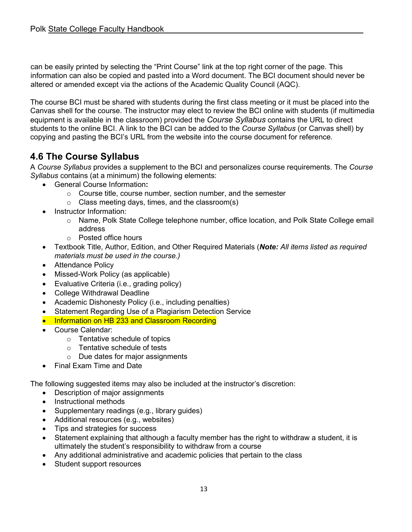can be easily printed by selecting the "Print Course" link at the top right corner of the page. This information can also be copied and pasted into a Word document. The BCI document should never be altered or amended except via the actions of the Academic Quality Council (AQC).

The course BCI must be shared with students during the first class meeting or it must be placed into the Canvas shell for the course. The instructor may elect to review the BCI online with students (if multimedia equipment is available in the classroom) provided the *Course Syllabus* contains the URL to direct students to the online BCI. A link to the BCI can be added to the *Course Syllabus* (or Canvas shell) by copying and pasting the BCI's URL from the website into the course document for reference.

### <span id="page-12-0"></span>**4.6 The Course Syllabus**

A *Course Syllabus* provides a supplement to the BCI and personalizes course requirements. The *Course Syllabus* contains (at a minimum) the following elements:

- General Course Information**:** 
	- o Course title, course number, section number, and the semester
	- o Class meeting days, times, and the classroom(s)
- Instructor Information:
	- o Name, Polk State College telephone number, office location, and Polk State College email address
	- o Posted office hours
- Textbook Title, Author, Edition, and Other Required Materials (*Note: All items listed as required materials must be used in the course.)*
- Attendance Policy
- Missed-Work Policy (as applicable)
- Evaluative Criteria (i.e., grading policy)
- College Withdrawal Deadline
- Academic Dishonesty Policy (i.e., including penalties)
- Statement Regarding Use of a Plagiarism Detection Service
- Information on HB 233 and Classroom Recording
- Course Calendar:
	- o Tentative schedule of topics
	- o Tentative schedule of tests
	- o Due dates for major assignments
- Final Exam Time and Date

The following suggested items may also be included at the instructor's discretion:

- Description of major assignments
- Instructional methods
- Supplementary readings (e.g., library guides)
- Additional resources (e.g., websites)
- Tips and strategies for success
- Statement explaining that although a faculty member has the right to withdraw a student, it is ultimately the student's responsibility to withdraw from a course
- Any additional administrative and academic policies that pertain to the class
- Student support resources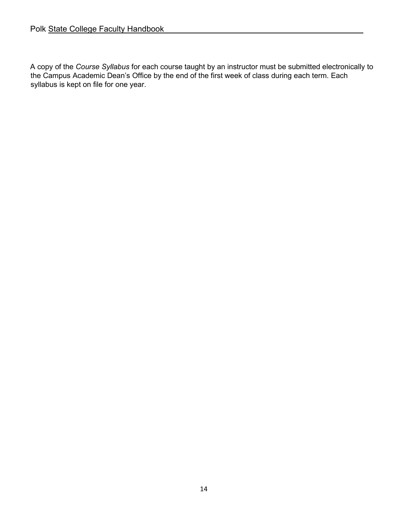A copy of the *Course Syllabus* for each course taught by an instructor must be submitted electronically to the Campus Academic Dean's Office by the end of the first week of class during each term. Each syllabus is kept on file for one year.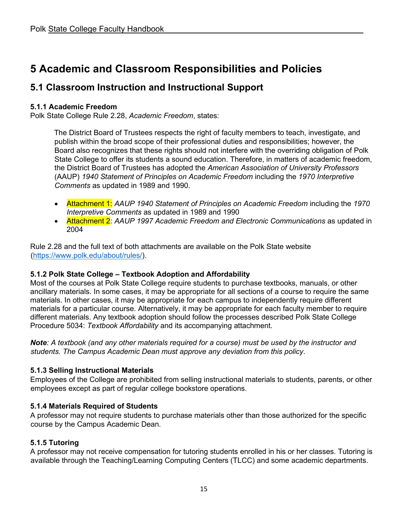# <span id="page-14-0"></span>**5 Academic and Classroom Responsibilities and Policies**

### <span id="page-14-1"></span>**5.1 Classroom Instruction and Instructional Support**

#### **5.1.1 Academic Freedom**

Polk State College Rule 2.28, *Academic Freedom*, states:

The District Board of Trustees respects the right of faculty members to teach, investigate, and publish within the broad scope of their professional duties and responsibilities; however, the Board also recognizes that these rights should not interfere with the overriding obligation of Polk State College to offer its students a sound education. Therefore, in matters of academic freedom, the District Board of Trustees has adopted the *American Association of University Professors*  (AAUP) *1940 Statement of Principles on Academic Freedom* including the *1970 Interpretive Comments* as updated in 1989 and 1990.

- Attachment 1: *AAUP 1940 Statement of Principles on Academic Freedom* including the *1970 Interpretive Comments* as updated in 1989 and 1990
- Attachment 2: *AAUP 1997 Academic Freedom and Electronic Communications* as updated in 2004

Rule 2.28 and the full text of both attachments are available on the Polk State website [\(https://www.polk.edu/about/rules/\)](https://www.polk.edu/about/rules/).

#### **5.1.2 Polk State College – Textbook Adoption and Affordability**

Most of the courses at Polk State College require students to purchase textbooks, manuals, or other ancillary materials. In some cases, it may be appropriate for all sections of a course to require the same materials. In other cases, it may be appropriate for each campus to independently require different materials for a particular course. Alternatively, it may be appropriate for each faculty member to require different materials. Any textbook adoption should follow the processes described Polk State College Procedure 5034: *Textbook Affordability* and its accompanying attachment.

*Note: A textbook (and any other materials required for a course) must be used by the instructor and students. The Campus Academic Dean must approve any deviation from this policy*.

#### **5.1.3 Selling Instructional Materials**

Employees of the College are prohibited from selling instructional materials to students, parents, or other employees except as part of regular college bookstore operations.

#### **5.1.4 Materials Required of Students**

A professor may not require students to purchase materials other than those authorized for the specific course by the Campus Academic Dean.

#### **5.1.5 Tutoring**

A professor may not receive compensation for tutoring students enrolled in his or her classes. Tutoring is available through the Teaching/Learning Computing Centers (TLCC) and some academic departments.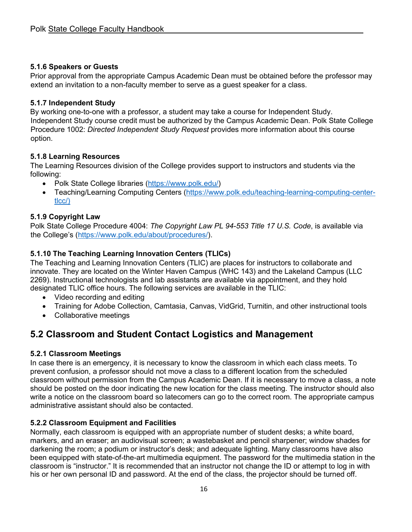#### **5.1.6 Speakers or Guests**

Prior approval from the appropriate Campus Academic Dean must be obtained before the professor may extend an invitation to a non-faculty member to serve as a guest speaker for a class.

#### **5.1.7 Independent Study**

By working one-to-one with a professor, a student may take a course for Independent Study. Independent Study course credit must be authorized by the Campus Academic Dean. Polk State College Procedure 1002: *Directed Independent Study Request* provides more information about this course option.

#### **5.1.8 Learning Resources**

The Learning Resources division of the College provides support to instructors and students via the following:

- Polk State College libraries [\(https://www.polk.edu/\)](https://www.polk.edu/)
- Teaching/Learning Computing Centers [\(https://www.polk.edu/teaching-learning-computing-center](https://www.polk.edu/teaching-learning-computing-center-tlcc/)) $t<sub>l</sub>$

#### **5.1.9 Copyright Law**

Polk State College Procedure 4004: *The Copyright Law PL 94-553 Title 17 U.S. Code*, is available via the College's [\(https://www.polk.edu/about/procedures/\)](https://www.polk.edu/about/procedures/).

#### **5.1.10 The Teaching Learning Innovation Centers (TLICs)**

The Teaching and Learning Innovation Centers (TLIC) are places for instructors to collaborate and innovate. They are located on the Winter Haven Campus (WHC 143) and the Lakeland Campus (LLC 2269). Instructional technologists and lab assistants are available via appointment, and they hold designated TLIC office hours. The following services are available in the TLIC:

- Video recording and editing
- Training for Adobe Collection, Camtasia, Canvas, VidGrid, Turnitin, and other instructional tools
- Collaborative meetings

### <span id="page-15-0"></span>**5.2 Classroom and Student Contact Logistics and Management**

#### **5.2.1 Classroom Meetings**

In case there is an emergency, it is necessary to know the classroom in which each class meets. To prevent confusion, a professor should not move a class to a different location from the scheduled classroom without permission from the Campus Academic Dean. If it is necessary to move a class, a note should be posted on the door indicating the new location for the class meeting. The instructor should also write a notice on the classroom board so latecomers can go to the correct room. The appropriate campus administrative assistant should also be contacted.

#### **5.2.2 Classroom Equipment and Facilities**

Normally, each classroom is equipped with an appropriate number of student desks; a white board, markers, and an eraser; an audiovisual screen; a wastebasket and pencil sharpener; window shades for darkening the room; a podium or instructor's desk; and adequate lighting. Many classrooms have also been equipped with state-of-the-art multimedia equipment. The password for the multimedia station in the classroom is "instructor." It is recommended that an instructor not change the ID or attempt to log in with his or her own personal ID and password. At the end of the class, the projector should be turned off.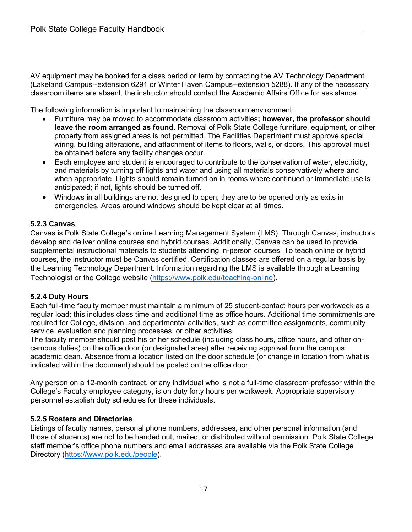AV equipment may be booked for a class period or term by contacting the AV Technology Department (Lakeland Campus--extension 6291 or Winter Haven Campus--extension 5288). If any of the necessary classroom items are absent, the instructor should contact the Academic Affairs Office for assistance.

The following information is important to maintaining the classroom environment:

- Furniture may be moved to accommodate classroom activities**; however, the professor should leave the room arranged as found.** Removal of Polk State College furniture, equipment, or other property from assigned areas is not permitted. The Facilities Department must approve special wiring, building alterations, and attachment of items to floors, walls, or doors. This approval must be obtained before any facility changes occur.
- Each employee and student is encouraged to contribute to the conservation of water, electricity, and materials by turning off lights and water and using all materials conservatively where and when appropriate. Lights should remain turned on in rooms where continued or immediate use is anticipated; if not, lights should be turned off.
- Windows in all buildings are not designed to open; they are to be opened only as exits in emergencies. Areas around windows should be kept clear at all times.

#### **5.2.3 Canvas**

Canvas is Polk State College's online Learning Management System (LMS). Through Canvas, instructors develop and deliver online courses and hybrid courses. Additionally, Canvas can be used to provide supplemental instructional materials to students attending in-person courses. To teach online or hybrid courses, the instructor must be Canvas certified. Certification classes are offered on a regular basis by the Learning Technology Department. Information regarding the LMS is available through a Learning Technologist or the College website [\(https://www.polk.edu/teaching-online\)](https://www.polk.edu/teaching-online).

#### **5.2.4 Duty Hours**

Each full-time faculty member must maintain a minimum of 25 student-contact hours per workweek as a regular load; this includes class time and additional time as office hours. Additional time commitments are required for College, division, and departmental activities, such as committee assignments, community service, evaluation and planning processes, or other activities.

The faculty member should post his or her schedule (including class hours, office hours, and other oncampus duties) on the office door (or designated area) after receiving approval from the campus academic dean. Absence from a location listed on the door schedule (or change in location from what is indicated within the document) should be posted on the office door.

Any person on a 12-month contract, or any individual who is not a full-time classroom professor within the College's Faculty employee category, is on duty forty hours per workweek. Appropriate supervisory personnel establish duty schedules for these individuals.

#### **5.2.5 Rosters and Directories**

Listings of faculty names, personal phone numbers, addresses, and other personal information (and those of students) are not to be handed out, mailed, or distributed without permission. Polk State College staff member's office phone numbers and email addresses are available via the Polk State College Directory [\(https://www.polk.edu/people\)](https://www.polk.edu/people).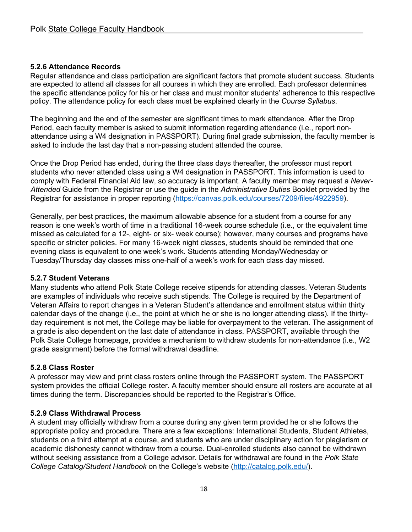#### **5.2.6 Attendance Records**

Regular attendance and class participation are significant factors that promote student success. Students are expected to attend all classes for all courses in which they are enrolled. Each professor determines the specific attendance policy for his or her class and must monitor students' adherence to this respective policy. The attendance policy for each class must be explained clearly in the *Course Syllabus*.

The beginning and the end of the semester are significant times to mark attendance. After the Drop Period, each faculty member is asked to submit information regarding attendance (i.e., report nonattendance using a W4 designation in PASSPORT). During final grade submission, the faculty member is asked to include the last day that a non-passing student attended the course.

Once the Drop Period has ended, during the three class days thereafter, the professor must report students who never attended class using a W4 designation in PASSPORT. This information is used to comply with Federal Financial Aid law, so accuracy is important. A faculty member may request a *Never-Attended* Guide from the Registrar or use the guide in the *Administrative Duties* Booklet provided by the Registrar for assistance in proper reporting [\(https://canvas.polk.edu/courses/7209/files/4922959\)](https://canvas.polk.edu/courses/7209/files/4922959).

Generally, per best practices, the maximum allowable absence for a student from a course for any reason is one week's worth of time in a traditional 16-week course schedule (i.e., or the equivalent time missed as calculated for a 12-, eight- or six- week course); however, many courses and programs have specific or stricter policies. For many 16-week night classes, students should be reminded that one evening class is equivalent to one week's work. Students attending Monday/Wednesday or Tuesday/Thursday day classes miss one-half of a week's work for each class day missed.

#### **5.2.7 Student Veterans**

Many students who attend Polk State College receive stipends for attending classes. Veteran Students are examples of individuals who receive such stipends. The College is required by the Department of Veteran Affairs to report changes in a Veteran Student's attendance and enrollment status within thirty calendar days of the change (i.e., the point at which he or she is no longer attending class). If the thirtyday requirement is not met, the College may be liable for overpayment to the veteran. The assignment of a grade is also dependent on the last date of attendance in class. PASSPORT, available through the Polk State College homepage, provides a mechanism to withdraw students for non-attendance (i.e., W2 grade assignment) before the formal withdrawal deadline.

#### **5.2.8 Class Roster**

A professor may view and print class rosters online through the PASSPORT system. The PASSPORT system provides the official College roster. A faculty member should ensure all rosters are accurate at all times during the term. Discrepancies should be reported to the Registrar's Office.

#### **5.2.9 Class Withdrawal Process**

A student may officially withdraw from a course during any given term provided he or she follows the appropriate policy and procedure. There are a few exceptions: International Students, Student Athletes, students on a third attempt at a course, and students who are under disciplinary action for plagiarism or academic dishonesty cannot withdraw from a course. Dual-enrolled students also cannot be withdrawn without seeking assistance from a College advisor. Details for withdrawal are found in the *Polk State College Catalog/Student Handbook* on the College's website [\(http://catalog.polk.edu/\).](http://catalog.polk.edu/).)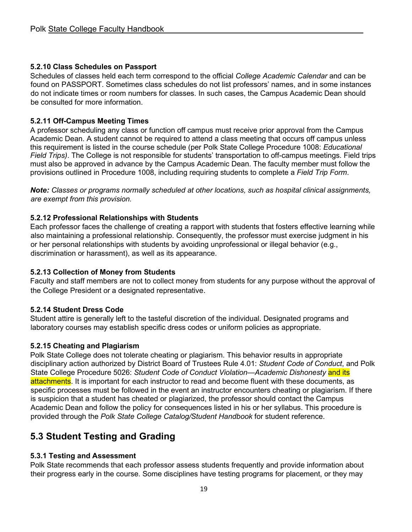#### **5.2.10 Class Schedules on Passport**

Schedules of classes held each term correspond to the official *College Academic Calendar* and can be found on PASSPORT. Sometimes class schedules do not list professors' names, and in some instances do not indicate times or room numbers for classes. In such cases, the Campus Academic Dean should be consulted for more information.

#### **5.2.11 Off-Campus Meeting Times**

A professor scheduling any class or function off campus must receive prior approval from the Campus Academic Dean. A student cannot be required to attend a class meeting that occurs off campus unless this requirement is listed in the course schedule (per Polk State College Procedure 1008: *Educational Field Trips)*. The College is not responsible for students' transportation to off-campus meetings. Field trips must also be approved in advance by the Campus Academic Dean. The faculty member must follow the provisions outlined in Procedure 1008, including requiring students to complete a *Field Trip Form*.

*Note: Classes or programs normally scheduled at other locations, such as hospital clinical assignments, are exempt from this provision.*

#### **5.2.12 Professional Relationships with Students**

Each professor faces the challenge of creating a rapport with students that fosters effective learning while also maintaining a professional relationship. Consequently, the professor must exercise judgment in his or her personal relationships with students by avoiding unprofessional or illegal behavior (e.g., discrimination or harassment), as well as its appearance.

#### **5.2.13 Collection of Money from Students**

Faculty and staff members are not to collect money from students for any purpose without the approval of the College President or a designated representative.

#### **5.2.14 Student Dress Code**

Student attire is generally left to the tasteful discretion of the individual. Designated programs and laboratory courses may establish specific dress codes or uniform policies as appropriate.

#### **5.2.15 Cheating and Plagiarism**

Polk State College does not tolerate cheating or plagiarism. This behavior results in appropriate disciplinary action authorized by District Board of Trustees Rule 4.01: *Student Code of Conduct*, and Polk State College Procedure 5026: *Student Code of Conduct Violation—Academic Dishonesty* and its attachments. It is important for each instructor to read and become fluent with these documents, as specific processes must be followed in the event an instructor encounters cheating or plagiarism. If there is suspicion that a student has cheated or plagiarized, the professor should contact the Campus Academic Dean and follow the policy for consequences listed in his or her syllabus. This procedure is provided through the *Polk State College Catalog/Student Handbook* for student reference.

### <span id="page-18-0"></span>**5.3 Student Testing and Grading**

#### **5.3.1 Testing and Assessment**

Polk State recommends that each professor assess students frequently and provide information about their progress early in the course. Some disciplines have testing programs for placement, or they may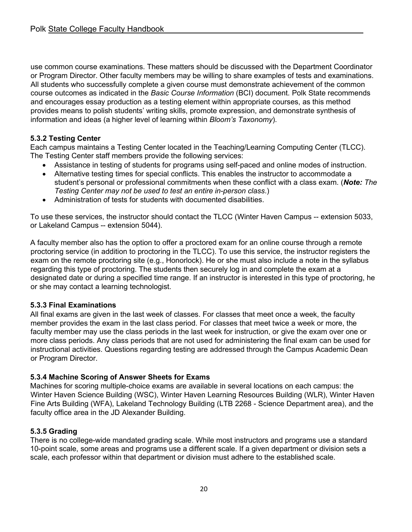use common course examinations. These matters should be discussed with the Department Coordinator or Program Director. Other faculty members may be willing to share examples of tests and examinations. All students who successfully complete a given course must demonstrate achievement of the common course outcomes as indicated in the *Basic Course Information* (BCI) document. Polk State recommends and encourages essay production as a testing element within appropriate courses, as this method provides means to polish students' writing skills, promote expression, and demonstrate synthesis of information and ideas (a higher level of learning within *Bloom's Taxonomy*).

#### **5.3.2 Testing Center**

Each campus maintains a Testing Center located in the Teaching/Learning Computing Center (TLCC). The Testing Center staff members provide the following services:

- Assistance in testing of students for programs using self-paced and online modes of instruction.
- Alternative testing times for special conflicts. This enables the instructor to accommodate a student's personal or professional commitments when these conflict with a class exam. (*Note: The Testing Center may not be used to test an entire in-person class*.)
- Administration of tests for students with documented disabilities.

To use these services, the instructor should contact the TLCC (Winter Haven Campus -- extension 5033, or Lakeland Campus -- extension 5044).

A faculty member also has the option to offer a proctored exam for an online course through a remote proctoring service (in addition to proctoring in the TLCC). To use this service, the instructor registers the exam on the remote proctoring site (e.g., Honorlock). He or she must also include a note in the syllabus regarding this type of proctoring. The students then securely log in and complete the exam at a designated date or during a specified time range. If an instructor is interested in this type of proctoring, he or she may contact a learning technologist.

#### **5.3.3 Final Examinations**

All final exams are given in the last week of classes. For classes that meet once a week, the faculty member provides the exam in the last class period. For classes that meet twice a week or more, the faculty member may use the class periods in the last week for instruction, or give the exam over one or more class periods. Any class periods that are not used for administering the final exam can be used for instructional activities. Questions regarding testing are addressed through the Campus Academic Dean or Program Director.

#### **5.3.4 Machine Scoring of Answer Sheets for Exams**

Machines for scoring multiple-choice exams are available in several locations on each campus: the Winter Haven Science Building (WSC), Winter Haven Learning Resources Building (WLR), Winter Haven Fine Arts Building (WFA), Lakeland Technology Building (LTB 2268 - Science Department area), and the faculty office area in the JD Alexander Building.

### **5.3.5 Grading**

There is no college-wide mandated grading scale. While most instructors and programs use a standard 10-point scale, some areas and programs use a different scale. If a given department or division sets a scale, each professor within that department or division must adhere to the established scale.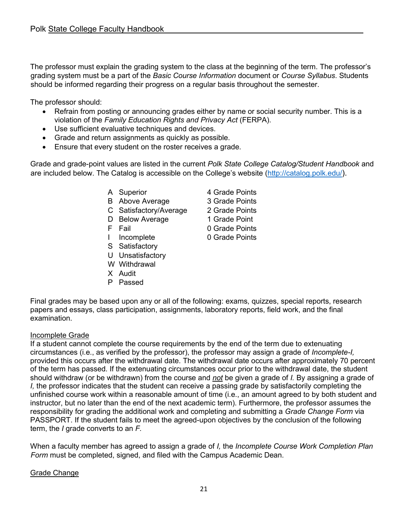The professor must explain the grading system to the class at the beginning of the term. The professor's grading system must be a part of the *Basic Course Information* document or *Course Syllabus*. Students should be informed regarding their progress on a regular basis throughout the semester.

The professor should:

- Refrain from posting or announcing grades either by name or social security number. This is a violation of the *Family Education Rights and Privacy Act* (FERPA).
- Use sufficient evaluative techniques and devices.
- Grade and return assignments as quickly as possible.
- Ensure that every student on the roster receives a grade.

Grade and grade-point values are listed in the current *Polk State College Catalog/Student Handbook* and are included below. The Catalog is accessible on the College's website [\(http://catalog.polk.edu/\)](http://catalog.polk.edu/).

- A Superior 4 Grade Points
- B Above Average 3 Grade Points
- C Satisfactory/Average 2 Grade Points
- D Below Average 1 Grade Point
- 
- I Incomplete 0 Grade Points
- S Satisfactory
- U Unsatisfactory
- W Withdrawal
- X Audit
- P Passed
- 
- 
- 
- F Fail 0 Grade Points
	-
	-

Final grades may be based upon any or all of the following: exams, quizzes, special reports, research papers and essays, class participation, assignments, laboratory reports, field work, and the final examination.

#### Incomplete Grade

If a student cannot complete the course requirements by the end of the term due to extenuating circumstances (i.e., as verified by the professor), the professor may assign a grade of *Incomplete-I,*  provided this occurs after the withdrawal date. The withdrawal date occurs after approximately 70 percent of the term has passed. If the extenuating circumstances occur prior to the withdrawal date, the student should withdraw (or be withdrawn) from the course and *not* be given a grade of *I.* By assigning a grade of *I,* the professor indicates that the student can receive a passing grade by satisfactorily completing the unfinished course work within a reasonable amount of time (i.e., an amount agreed to by both student and instructor, but no later than the end of the next academic term). Furthermore, the professor assumes the responsibility for grading the additional work and completing and submitting a *Grade Change Form* via PASSPORT. If the student fails to meet the agreed-upon objectives by the conclusion of the following term, the *I* grade converts to an *F.* 

When a faculty member has agreed to assign a grade of *I,* the *Incomplete Course Work Completion Plan Form* must be completed, signed, and filed with the Campus Academic Dean.

#### **Grade Change**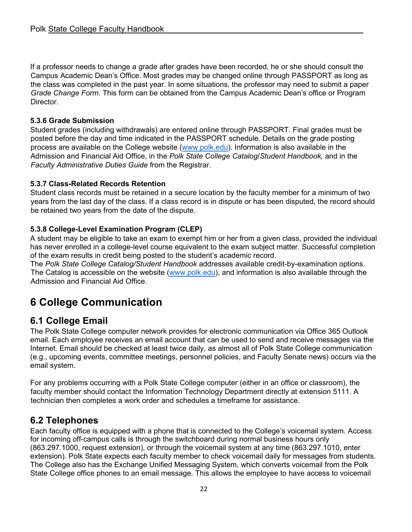If a professor needs to change a grade after grades have been recorded, he or she should consult the Campus Academic Dean's Office. Most grades may be changed online through PASSPORT as long as the class was completed in the past year. In some situations, the professor may need to submit a paper *Grade Change Form*. This form can be obtained from the Campus Academic Dean's office or Program **Director** 

#### **5.3.6 Grade Submission**

Student grades (including withdrawals) are entered online through PASSPORT. Final grades must be posted before the day and time indicated in the PASSPORT schedule. Details on the grade posting process are available on the College website [\(www.polk.edu\)](http://www.polk.edu/). Information is also available in the Admission and Financial Aid Office, in the *Polk State College Catalog*/*Student Handbook,* and in the *Faculty Administrative Duties Guide* from the Registrar.

#### **5.3.7 Class-Related Records Retention**

Student class records must be retained in a secure location by the faculty member for a minimum of two years from the last day of the class. If a class record is in dispute or has been disputed, the record should be retained two years from the date of the dispute.

#### **5.3.8 College-Level Examination Program (CLEP)**

A student may be eligible to take an exam to exempt him or her from a given class, provided the individual has never enrolled in a college-level course equivalent to the exam subject matter. Successful completion of the exam results in credit being posted to the student's academic record.

The *Polk State College Catalog/Student Handbook* addresses available credit-by-examination options. The Catalog is accessible on the website [\(www.polk.edu\)](http://www.polk.edu/), and information is also available through the Admission and Financial Aid Office.

# <span id="page-21-0"></span>**6 College Communication**

### <span id="page-21-1"></span>**6.1 College Email**

The Polk State College computer network provides for electronic communication via Office 365 Outlook email. Each employee receives an email account that can be used to send and receive messages via the Internet. Email should be checked at least twice daily, as almost all of Polk State College communication (e.g., upcoming events, committee meetings, personnel policies, and Faculty Senate news) occurs via the email system.

For any problems occurring with a Polk State College computer (either in an office or classroom), the faculty member should contact the Information Technology Department directly at extension 5111. A technician then completes a work order and schedules a timeframe for assistance.

### <span id="page-21-2"></span>**6.2 Telephones**

Each faculty office is equipped with a phone that is connected to the College's voicemail system. Access for incoming off-campus calls is through the switchboard during normal business hours only (863.297.1000, request extension), or through the voicemail system at any time (863.297.1010, enter extension). Polk State expects each faculty member to check voicemail daily for messages from students. The College also has the Exchange Unified Messaging System, which converts voicemail from the Polk State College office phones to an email message. This allows the employee to have access to voicemail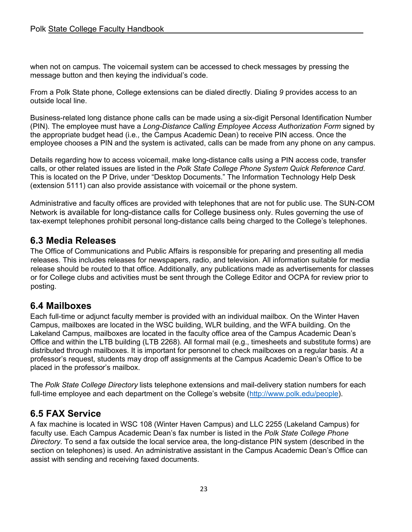when not on campus. The voicemail system can be accessed to check messages by pressing the message button and then keying the individual's code.

From a Polk State phone, College extensions can be dialed directly. Dialing *9* provides access to an outside local line.

Business-related long distance phone calls can be made using a six-digit Personal Identification Number (PIN). The employee must have a *Long-Distance Calling Employee Access Authorization Form* signed by the appropriate budget head (i.e*.,* the Campus Academic Dean) to receive PIN access. Once the employee chooses a PIN and the system is activated, calls can be made from any phone on any campus.

Details regarding how to access voicemail, make long-distance calls using a PIN access code, transfer calls, or other related issues are listed in the *Polk State College Phone System Quick Reference Card*. This is located on the P Drive, under "Desktop Documents." The Information Technology Help Desk (extension 5111) can also provide assistance with voicemail or the phone system.

Administrative and faculty offices are provided with telephones that are not for public use. The SUN-COM Network is available for long-distance calls for College business only. Rules governing the use of tax-exempt telephones prohibit personal long-distance calls being charged to the College's telephones.

### <span id="page-22-0"></span>**6.3 Media Releases**

The Office of Communications and Public Affairs is responsible for preparing and presenting all media releases. This includes releases for newspapers, radio, and television. All information suitable for media release should be routed to that office. Additionally, any publications made as advertisements for classes or for College clubs and activities must be sent through the College Editor and OCPA for review prior to posting.

### <span id="page-22-1"></span>**6.4 Mailboxes**

Each full-time or adjunct faculty member is provided with an individual mailbox. On the Winter Haven Campus, mailboxes are located in the WSC building, WLR building, and the WFA building. On the Lakeland Campus, mailboxes are located in the faculty office area of the Campus Academic Dean's Office and within the LTB building (LTB 2268). All formal mail (e.g., timesheets and substitute forms) are distributed through mailboxes. It is important for personnel to check mailboxes on a regular basis. At a professor's request, students may drop off assignments at the Campus Academic Dean's Office to be placed in the professor's mailbox.

The *Polk State College Directory* lists telephone extensions and mail-delivery station numbers for each full-time employee and each department on the College's website [\(http://www.polk.edu/people\)](http://www.polk.edu/people).

### <span id="page-22-2"></span>**6.5 FAX Service**

A fax machine is located in WSC 108 (Winter Haven Campus) and LLC 2255 (Lakeland Campus) for faculty use. Each Campus Academic Dean's fax number is listed in the *Polk State College Phone Directory*. To send a fax outside the local service area, the long-distance PIN system (described in the section on telephones) is used. An administrative assistant in the Campus Academic Dean's Office can assist with sending and receiving faxed documents.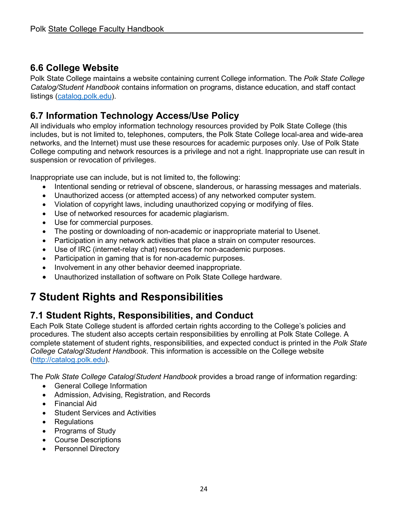### <span id="page-23-0"></span>**6.6 College Website**

Polk State College maintains a website containing current College information. The *Polk State College Catalog/Student Handbook* contains information on programs, distance education, and staff contact listings [\(catalog.polk.edu\)](http://catalog.polk.edu/).

### <span id="page-23-1"></span>**6.7 Information Technology Access/Use Policy**

All individuals who employ information technology resources provided by Polk State College (this includes, but is not limited to, telephones, computers, the Polk State College local-area and wide-area networks, and the Internet) must use these resources for academic purposes only. Use of Polk State College computing and network resources is a privilege and not a right. Inappropriate use can result in suspension or revocation of privileges.

Inappropriate use can include, but is not limited to, the following:

- Intentional sending or retrieval of obscene, slanderous, or harassing messages and materials.
- Unauthorized access (or attempted access) of any networked computer system.
- Violation of copyright laws, including unauthorized copying or modifying of files.
- Use of networked resources for academic plagiarism.
- Use for commercial purposes.
- The posting or downloading of non-academic or inappropriate material to Usenet.
- Participation in any network activities that place a strain on computer resources.
- Use of IRC (internet-relay chat) resources for non-academic purposes.
- Participation in gaming that is for non-academic purposes.
- Involvement in any other behavior deemed inappropriate.
- Unauthorized installation of software on Polk State College hardware.

# <span id="page-23-2"></span>**7 Student Rights and Responsibilities**

### <span id="page-23-3"></span>**7.1 Student Rights, Responsibilities, and Conduct**

Each Polk State College student is afforded certain rights according to the College's policies and procedures. The student also accepts certain responsibilities by enrolling at Polk State College. A complete statement of student rights, responsibilities, and expected conduct is printed in the *Polk State College Catalog*/*Student Handbook*. This information is accessible on the College website [\(http://catalog.polk.edu\)](http://catalog.polk.edu/).

The *Polk State College Catalog*/*Student Handbook* provides a broad range of information regarding:

- General College Information
- Admission, Advising, Registration, and Records
- Financial Aid
- Student Services and Activities
- Regulations
- Programs of Study
- Course Descriptions
- Personnel Directory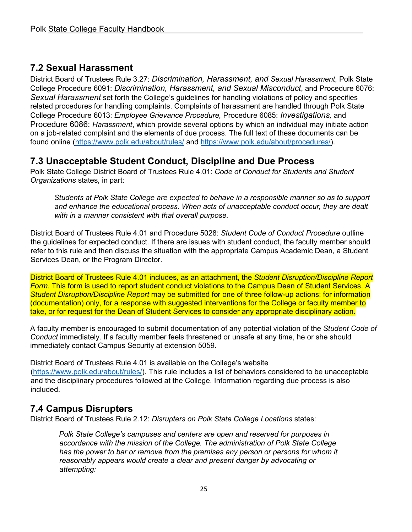### <span id="page-24-0"></span>**7.2 Sexual Harassment**

District Board of Trustees Rule 3.27: *Discrimination, Harassment, and Sexual Harassment*, Polk State College Procedure 6091: *Discrimination, Harassment, and Sexual Misconduct*, and Procedure 6076: *Sexual Harassment* set forth the College's guidelines for handling violations of policy and specifies related procedures for handling complaints. Complaints of harassment are handled through Polk State College Procedure 6013: *Employee Grievance Procedure,* Procedure 6085: *Investigations,* and Procedure 6086: *Harassment*, which provide several options by which an individual may initiate action on a job-related complaint and the elements of due process. The full text of these documents can be found online [\(https://www.polk.edu/about/rules/](https://www.polk.edu/about/rules/) and [https://www.polk.edu/about/procedures/\)](https://www.polk.edu/about/procedures/).

### <span id="page-24-1"></span>**7.3 Unacceptable Student Conduct, Discipline and Due Process**

Polk State College District Board of Trustees Rule 4.01: *Code of Conduct for Students and Student Organizations* states, in part:

*Students at Polk State College are expected to behave in a responsible manner so as to support and enhance the educational process. When acts of unacceptable conduct occur, they are dealt with in a manner consistent with that overall purpose.* 

District Board of Trustees Rule 4.01 and Procedure 5028: *Student Code of Conduct Procedure* outline the guidelines for expected conduct. If there are issues with student conduct, the faculty member should refer to this rule and then discuss the situation with the appropriate Campus Academic Dean, a Student Services Dean, or the Program Director.

District Board of Trustees Rule 4.01 includes, as an attachment, the *Student Disruption/Discipline Report Form*. This form is used to report student conduct violations to the Campus Dean of Student Services. A *Student Disruption/Discipline Report* may be submitted for one of three follow-up actions: for information (documentation) only, for a response with suggested interventions for the College or faculty member to take, or for request for the Dean of Student Services to consider any appropriate disciplinary action.

A faculty member is encouraged to submit documentation of any potential violation of the *Student Code of Conduct* immediately. If a faculty member feels threatened or unsafe at any time, he or she should immediately contact Campus Security at extension 5059.

District Board of Trustees Rule 4.01 is available on the College's website [\(https://www.polk.edu/about/rules/\)](https://www.polk.edu/about/rules/). This rule includes a list of behaviors considered to be unacceptable and the disciplinary procedures followed at the College. Information regarding due process is also included.

### <span id="page-24-2"></span>**7.4 Campus Disrupters**

District Board of Trustees Rule 2.12: *Disrupters on Polk State College Locations* states:

*Polk State College's campuses and centers are open and reserved for purposes in accordance with the mission of the College. The administration of Polk State College*  has the power to bar or remove from the premises any person or persons for whom it *reasonably appears would create a clear and present danger by advocating or attempting:*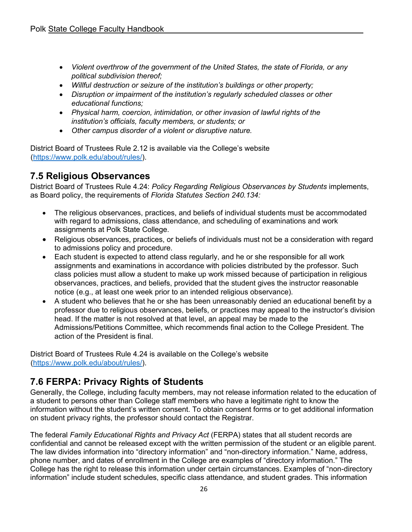- *Violent overthrow of the government of the United States, the state of Florida, or any political subdivision thereof;*
- *Willful destruction or seizure of the institution's buildings or other property;*
- *Disruption or impairment of the institution's regularly scheduled classes or other educational functions;*
- *Physical harm, coercion, intimidation, or other invasion of lawful rights of the institution's officials, faculty members, or students; or*
- *Other campus disorder of a violent or disruptive nature.*

District Board of Trustees Rule 2.12 is available via the College's website [\(https://www.polk.edu/about/rules/\)](https://www.polk.edu/about/rules/).

### <span id="page-25-0"></span>**7.5 Religious Observances**

District Board of Trustees Rule 4.24: *Policy Regarding Religious Observances by Students* implements, as Board policy, the requirements of *Florida Statutes Section 240.134:* 

- The religious observances, practices, and beliefs of individual students must be accommodated with regard to admissions, class attendance, and scheduling of examinations and work assignments at Polk State College.
- Religious observances, practices, or beliefs of individuals must not be a consideration with regard to admissions policy and procedure.
- Each student is expected to attend class regularly, and he or she responsible for all work assignments and examinations in accordance with policies distributed by the professor. Such class policies must allow a student to make up work missed because of participation in religious observances, practices, and beliefs, provided that the student gives the instructor reasonable notice (e.g., at least one week prior to an intended religious observance).
- A student who believes that he or she has been unreasonably denied an educational benefit by a professor due to religious observances, beliefs, or practices may appeal to the instructor's division head. If the matter is not resolved at that level, an appeal may be made to the Admissions/Petitions Committee, which recommends final action to the College President. The action of the President is final.

District Board of Trustees Rule 4.24 is available on the College's website [\(https://www.polk.edu/about/rules/\)](https://www.polk.edu/about/rules/).

### <span id="page-25-1"></span>**7.6 FERPA: Privacy Rights of Students**

Generally, the College, including faculty members, may not release information related to the education of a student to persons other than College staff members who have a legitimate right to know the information without the student's written consent. To obtain consent forms or to get additional information on student privacy rights, the professor should contact the Registrar.

The federal *Family Educational Rights and Privacy Act* (FERPA) states that all student records are confidential and cannot be released except with the written permission of the student or an eligible parent. The law divides information into "directory information" and "non-directory information." Name, address, phone number, and dates of enrollment in the College are examples of "directory information." The College has the right to release this information under certain circumstances. Examples of "non-directory information" include student schedules, specific class attendance, and student grades. This information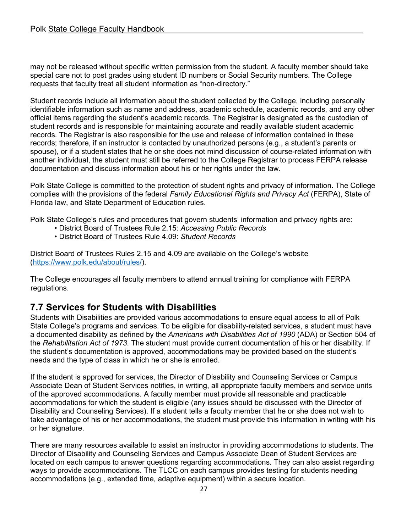may not be released without specific written permission from the student. A faculty member should take special care not to post grades using student ID numbers or Social Security numbers. The College requests that faculty treat all student information as "non-directory."

Student records include all information about the student collected by the College, including personally identifiable information such as name and address, academic schedule, academic records, and any other official items regarding the student's academic records. The Registrar is designated as the custodian of student records and is responsible for maintaining accurate and readily available student academic records. The Registrar is also responsible for the use and release of information contained in these records; therefore, if an instructor is contacted by unauthorized persons (e.g., a student's parents or spouse), or if a student states that he or she does not mind discussion of course-related information with another individual, the student must still be referred to the College Registrar to process FERPA release documentation and discuss information about his or her rights under the law.

Polk State College is committed to the protection of student rights and privacy of information. The College complies with the provisions of the federal *Family Educational Rights and Privacy Act* (FERPA), State of Florida law, and State Department of Education rules.

Polk State College's rules and procedures that govern students' information and privacy rights are:

- District Board of Trustees Rule 2.15: *Accessing Public Records*
- District Board of Trustees Rule 4.09: *Student Records*

District Board of Trustees Rules 2.15 and 4.09 are available on the College's website [\(https://www.polk.edu/about/rules/\)](https://www.polk.edu/about/rules/).

The College encourages all faculty members to attend annual training for compliance with FERPA regulations.

### <span id="page-26-0"></span>**7.7 Services for Students with Disabilities**

Students with Disabilities are provided various accommodations to ensure equal access to all of Polk State College's programs and services. To be eligible for disability-related services, a student must have a documented disability as defined by the *Americans with Disabilities Act of 1990* (ADA) or Section 504 of the *Rehabilitation Act of 1973*. The student must provide current documentation of his or her disability. If the student's documentation is approved, accommodations may be provided based on the student's needs and the type of class in which he or she is enrolled.

If the student is approved for services, the Director of Disability and Counseling Services or Campus Associate Dean of Student Services notifies, in writing, all appropriate faculty members and service units of the approved accommodations. A faculty member must provide all reasonable and practicable accommodations for which the student is eligible (any issues should be discussed with the Director of Disability and Counseling Services). If a student tells a faculty member that he or she does not wish to take advantage of his or her accommodations, the student must provide this information in writing with his or her signature.

There are many resources available to assist an instructor in providing accommodations to students. The Director of Disability and Counseling Services and Campus Associate Dean of Student Services are located on each campus to answer questions regarding accommodations. They can also assist regarding ways to provide accommodations. The TLCC on each campus provides testing for students needing accommodations (e.g., extended time, adaptive equipment) within a secure location.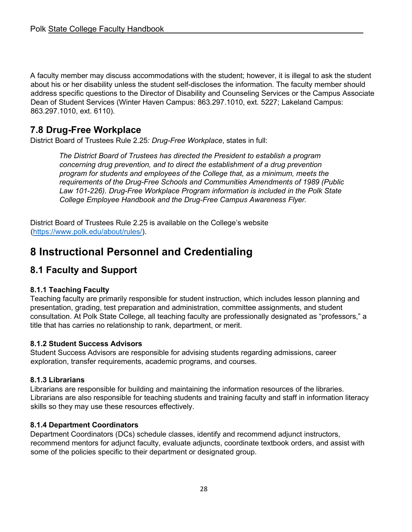A faculty member may discuss accommodations with the student; however, it is illegal to ask the student about his or her disability unless the student self-discloses the information. The faculty member should address specific questions to the Director of Disability and Counseling Services or the Campus Associate Dean of Student Services (Winter Haven Campus: 863.297.1010, ext. 5227; Lakeland Campus: 863.297.1010, ext. 6110).

### <span id="page-27-0"></span>**7.8 Drug-Free Workplace**

District Board of Trustees Rule 2.25*: Drug-Free Workplace*, states in full:

*The District Board of Trustees has directed the President to establish a program concerning drug prevention, and to direct the establishment of a drug prevention program for students and employees of the College that, as a minimum, meets the requirements of the Drug-Free Schools and Communities Amendments of 1989 (Public Law 101-226). Drug-Free Workplace Program information is included in the Polk State College Employee Handbook and the Drug-Free Campus Awareness Flyer.* 

District Board of Trustees Rule 2.25 is available on the College's website [\(https://www.polk.edu/about/rules/\)](https://www.polk.edu/about/rules/).

# <span id="page-27-1"></span>**8 Instructional Personnel and Credentialing**

### <span id="page-27-2"></span>**8.1 Faculty and Support**

#### **8.1.1 Teaching Faculty**

Teaching faculty are primarily responsible for student instruction, which includes lesson planning and presentation, grading, test preparation and administration, committee assignments, and student consultation. At Polk State College, all teaching faculty are professionally designated as "professors," a title that has carries no relationship to rank, department, or merit.

#### **8.1.2 Student Success Advisors**

Student Success Advisors are responsible for advising students regarding admissions, career exploration, transfer requirements, academic programs, and courses.

#### **8.1.3 Librarians**

Librarians are responsible for building and maintaining the information resources of the libraries. Librarians are also responsible for teaching students and training faculty and staff in information literacy skills so they may use these resources effectively.

#### **8.1.4 Department Coordinators**

Department Coordinators (DCs) schedule classes, identify and recommend adjunct instructors, recommend mentors for adjunct faculty, evaluate adjuncts, coordinate textbook orders, and assist with some of the policies specific to their department or designated group.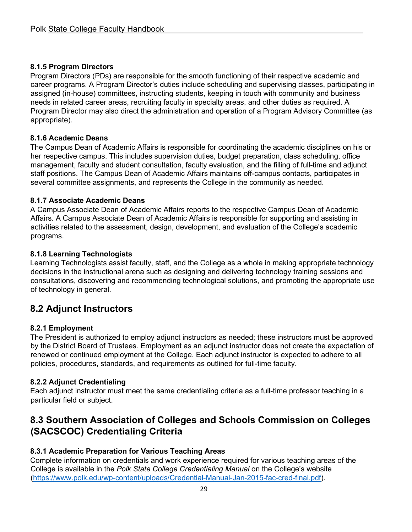#### **8.1.5 Program Directors**

Program Directors (PDs) are responsible for the smooth functioning of their respective academic and career programs. A Program Director's duties include scheduling and supervising classes, participating in assigned (in-house) committees, instructing students, keeping in touch with community and business needs in related career areas, recruiting faculty in specialty areas, and other duties as required. A Program Director may also direct the administration and operation of a Program Advisory Committee (as appropriate).

#### **8.1.6 Academic Deans**

The Campus Dean of Academic Affairs is responsible for coordinating the academic disciplines on his or her respective campus. This includes supervision duties, budget preparation, class scheduling, office management, faculty and student consultation, faculty evaluation, and the filling of full-time and adjunct staff positions. The Campus Dean of Academic Affairs maintains off-campus contacts, participates in several committee assignments, and represents the College in the community as needed.

#### **8.1.7 Associate Academic Deans**

A Campus Associate Dean of Academic Affairs reports to the respective Campus Dean of Academic Affairs. A Campus Associate Dean of Academic Affairs is responsible for supporting and assisting in activities related to the assessment, design, development, and evaluation of the College's academic programs.

#### **8.1.8 Learning Technologists**

Learning Technologists assist faculty, staff, and the College as a whole in making appropriate technology decisions in the instructional arena such as designing and delivering technology training sessions and consultations, discovering and recommending technological solutions, and promoting the appropriate use of technology in general.

### <span id="page-28-0"></span>**8.2 Adjunct Instructors**

#### **8.2.1 Employment**

The President is authorized to employ adjunct instructors as needed; these instructors must be approved by the District Board of Trustees. Employment as an adjunct instructor does not create the expectation of renewed or continued employment at the College. Each adjunct instructor is expected to adhere to all policies, procedures, standards, and requirements as outlined for full-time faculty.

#### **8.2.2 Adjunct Credentialing**

Each adjunct instructor must meet the same credentialing criteria as a full-time professor teaching in a particular field or subject.

### <span id="page-28-1"></span>**8.3 Southern Association of Colleges and Schools Commission on Colleges (SACSCOC) Credentialing Criteria**

#### **8.3.1 Academic Preparation for Various Teaching Areas**

Complete information on credentials and work experience required for various teaching areas of the College is available in the *Polk State College Credentialing Manual* on the College's website [\(https://www.polk.edu/wp-content/uploads/Credential-Manual-Jan-2015-fac-cred-final.pdf\)](https://www.polk.edu/wp-content/uploads/Credential-Manual-Jan-2015-fac-cred-final.pdf).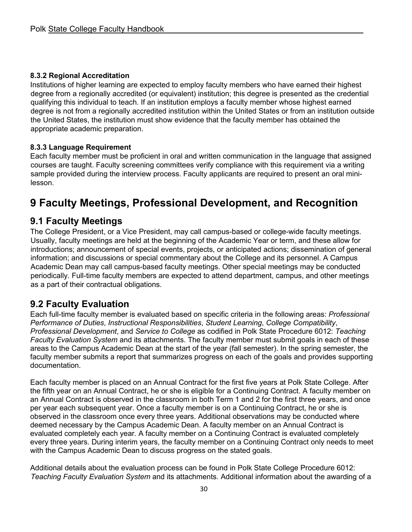#### **8.3.2 Regional Accreditation**

Institutions of higher learning are expected to employ faculty members who have earned their highest degree from a regionally accredited (or equivalent) institution; this degree is presented as the credential qualifying this individual to teach. If an institution employs a faculty member whose highest earned degree is not from a regionally accredited institution within the United States or from an institution outside the United States, the institution must show evidence that the faculty member has obtained the appropriate academic preparation.

#### **8.3.3 Language Requirement**

Each faculty member must be proficient in oral and written communication in the language that assigned courses are taught. Faculty screening committees verify compliance with this requirement via a writing sample provided during the interview process. Faculty applicants are required to present an oral minilesson.

# <span id="page-29-0"></span>**9 Faculty Meetings, Professional Development, and Recognition**

### <span id="page-29-1"></span>**9.1 Faculty Meetings**

The College President, or a Vice President, may call campus-based or college-wide faculty meetings. Usually, faculty meetings are held at the beginning of the Academic Year or term, and these allow for introductions; announcement of special events, projects, or anticipated actions; dissemination of general information; and discussions or special commentary about the College and its personnel. A Campus Academic Dean may call campus-based faculty meetings. Other special meetings may be conducted periodically. Full-time faculty members are expected to attend department, campus, and other meetings as a part of their contractual obligations.

### <span id="page-29-2"></span>**9.2 Faculty Evaluation**

Each full-time faculty member is evaluated based on specific criteria in the following areas: *Professional Performance of Duties*, *Instructional Responsibilities*, *Student Learning*, *College Compatibility*, *Professional Development*, and *Service to College* as codified in Polk State Procedure 6012: *Teaching Faculty Evaluation System* and its attachments. The faculty member must submit goals in each of these areas to the Campus Academic Dean at the start of the year (fall semester). In the spring semester, the faculty member submits a report that summarizes progress on each of the goals and provides supporting documentation.

Each faculty member is placed on an Annual Contract for the first five years at Polk State College. After the fifth year on an Annual Contract, he or she is eligible for a Continuing Contract. A faculty member on an Annual Contract is observed in the classroom in both Term 1 and 2 for the first three years, and once per year each subsequent year. Once a faculty member is on a Continuing Contract, he or she is observed in the classroom once every three years. Additional observations may be conducted where deemed necessary by the Campus Academic Dean. A faculty member on an Annual Contract is evaluated completely each year. A faculty member on a Continuing Contract is evaluated completely every three years. During interim years, the faculty member on a Continuing Contract only needs to meet with the Campus Academic Dean to discuss progress on the stated goals.

Additional details about the evaluation process can be found in Polk State College Procedure 6012: *Teaching Faculty Evaluation System* and its attachments. Additional information about the awarding of a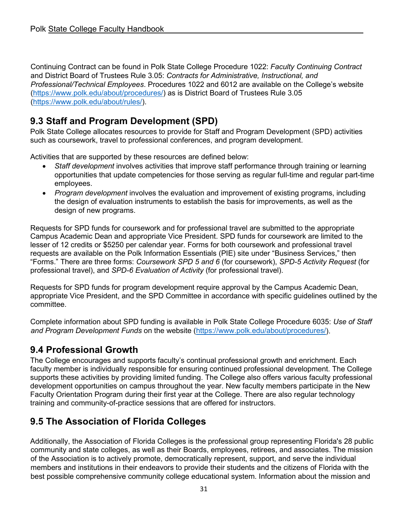Continuing Contract can be found in Polk State College Procedure 1022: *Faculty Continuing Contract* and District Board of Trustees Rule 3.05: *Contracts for Administrative, Instructional, and Professional/Technical Employees*. Procedures 1022 and 6012 are available on the College's website [\(https://www.polk.edu/about/procedures/\)](https://www.polk.edu/about/procedures/) as is District Board of Trustees Rule 3.05 [\(https://www.polk.edu/about/rules/\)](https://www.polk.edu/about/rules/).

### <span id="page-30-0"></span>**9.3 Staff and Program Development (SPD)**

Polk State College allocates resources to provide for Staff and Program Development (SPD) activities such as coursework, travel to professional conferences, and program development.

Activities that are supported by these resources are defined below:

- *Staff development* involves activities that improve staff performance through training or learning opportunities that update competencies for those serving as regular full-time and regular part-time employees.
- *Program development* involves the evaluation and improvement of existing programs, including the design of evaluation instruments to establish the basis for improvements, as well as the design of new programs.

Requests for SPD funds for coursework and for professional travel are submitted to the appropriate Campus Academic Dean and appropriate Vice President. SPD funds for coursework are limited to the lesser of 12 credits or \$5250 per calendar year. Forms for both coursework and professional travel requests are available on the Polk Information Essentials (PIE) site under "Business Services," then "Forms." There are three forms: *Coursework SPD 5 and 6* (for coursework), *SPD-5 Activity Request* (for professional travel), and *SPD-6 Evaluation of Activity* (for professional travel).

Requests for SPD funds for program development require approval by the Campus Academic Dean, appropriate Vice President, and the SPD Committee in accordance with specific guidelines outlined by the committee.

Complete information about SPD funding is available in Polk State College Procedure 6035: *Use of Staff and Program Development Funds* on the website [\(https://www.polk.edu/about/procedures/\)](https://www.polk.edu/about/procedures/).

### <span id="page-30-1"></span>**9.4 Professional Growth**

The College encourages and supports faculty's continual professional growth and enrichment. Each faculty member is individually responsible for ensuring continued professional development. The College supports these activities by providing limited funding. The College also offers various faculty professional development opportunities on campus throughout the year. New faculty members participate in the New Faculty Orientation Program during their first year at the College. There are also regular technology training and community-of-practice sessions that are offered for instructors.

### **9.5 The Association of Florida Colleges**

Additionally, the Association of Florida Colleges is the professional group representing Florida's 28 public community and state colleges, as well as their Boards, employees, retirees, and associates. The mission of the Association is to actively promote, democratically represent, support, and serve the individual members and institutions in their endeavors to provide their students and the citizens of Florida with the best possible comprehensive community college educational system. Information about the mission and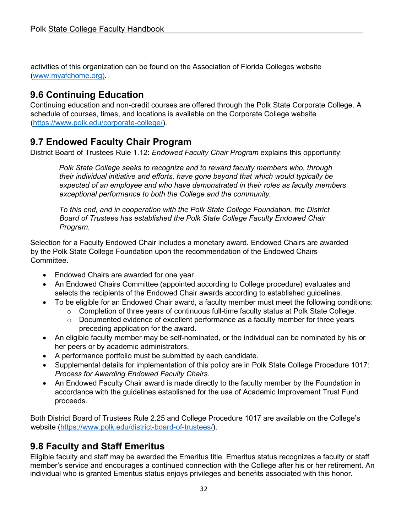activities of this organization can be found on the Association of Florida Colleges website [\(www.myafchome.org\)](http://www.myafchome.org/).

### <span id="page-31-0"></span>**9.6 Continuing Education**

Continuing education and non-credit courses are offered through the Polk State Corporate College. A schedule of courses, times, and locations is available on the Corporate College website [\(https://www.polk.edu/corporate-college/\)](https://www.polk.edu/corporate-college/).

### <span id="page-31-1"></span>**9.7 Endowed Faculty Chair Program**

District Board of Trustees Rule 1.12: *Endowed Faculty Chair Program* explains this opportunity:

*Polk State College seeks to recognize and to reward faculty members who, through their individual initiative and efforts, have gone beyond that which would typically be expected of an employee and who have demonstrated in their roles as faculty members exceptional performance to both the College and the community.* 

*To this end, and in cooperation with the Polk State College Foundation, the District Board of Trustees has established the Polk State College Faculty Endowed Chair Program.* 

Selection for a Faculty Endowed Chair includes a monetary award. Endowed Chairs are awarded by the Polk State College Foundation upon the recommendation of the Endowed Chairs Committee.

- Endowed Chairs are awarded for one year.
- An Endowed Chairs Committee (appointed according to College procedure) evaluates and selects the recipients of the Endowed Chair awards according to established guidelines.
- To be eligible for an Endowed Chair award, a faculty member must meet the following conditions:
	- o Completion of three years of continuous full-time faculty status at Polk State College.
	- o Documented evidence of excellent performance as a faculty member for three years preceding application for the award.
- An eligible faculty member may be self-nominated, or the individual can be nominated by his or her peers or by academic administrators.
- A performance portfolio must be submitted by each candidate.
- Supplemental details for implementation of this policy are in Polk State College Procedure 1017: *Process for Awarding Endowed Faculty Chairs.*
- An Endowed Faculty Chair award is made directly to the faculty member by the Foundation in accordance with the guidelines established for the use of Academic Improvement Trust Fund proceeds.

Both District Board of Trustees Rule 2.25 and College Procedure 1017 are available on the College's website [\(https://www.polk.edu/district-board-of-trustees/\)](https://www.polk.edu/district-board-of-trustees/).

### <span id="page-31-2"></span>**9.8 Faculty and Staff Emeritus**

Eligible faculty and staff may be awarded the Emeritus title. Emeritus status recognizes a faculty or staff member's service and encourages a continued connection with the College after his or her retirement. An individual who is granted Emeritus status enjoys privileges and benefits associated with this honor.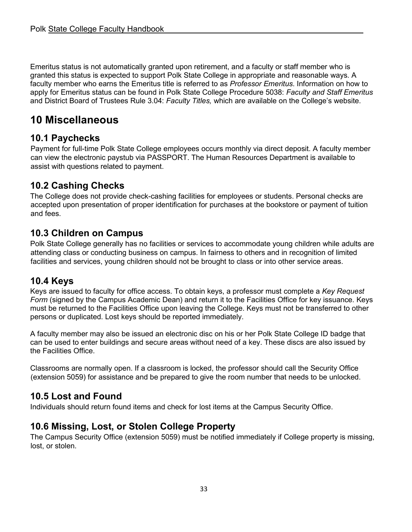Emeritus status is not automatically granted upon retirement, and a faculty or staff member who is granted this status is expected to support Polk State College in appropriate and reasonable ways. A faculty member who earns the Emeritus title is referred to as *Professor Emeritus*. Information on how to apply for Emeritus status can be found in Polk State College Procedure 5038: *Faculty and Staff Emeritus* and District Board of Trustees Rule 3.04: *Faculty Titles,* which are available on the College's website.

# <span id="page-32-0"></span>**10 Miscellaneous**

### <span id="page-32-1"></span>**10.1 Paychecks**

Payment for full-time Polk State College employees occurs monthly via direct deposit. A faculty member can view the electronic paystub via PASSPORT. The Human Resources Department is available to assist with questions related to payment.

### <span id="page-32-2"></span>**10.2 Cashing Checks**

The College does not provide check-cashing facilities for employees or students. Personal checks are accepted upon presentation of proper identification for purchases at the bookstore or payment of tuition and fees.

### <span id="page-32-3"></span>**10.3 Children on Campus**

Polk State College generally has no facilities or services to accommodate young children while adults are attending class or conducting business on campus. In fairness to others and in recognition of limited facilities and services, young children should not be brought to class or into other service areas.

### <span id="page-32-4"></span>**10.4 Keys**

Keys are issued to faculty for office access. To obtain keys, a professor must complete a *Key Request Form* (signed by the Campus Academic Dean) and return it to the Facilities Office for key issuance. Keys must be returned to the Facilities Office upon leaving the College. Keys must not be transferred to other persons or duplicated. Lost keys should be reported immediately.

A faculty member may also be issued an electronic disc on his or her Polk State College ID badge that can be used to enter buildings and secure areas without need of a key. These discs are also issued by the Facilities Office.

Classrooms are normally open. If a classroom is locked, the professor should call the Security Office (extension 5059) for assistance and be prepared to give the room number that needs to be unlocked.

### <span id="page-32-5"></span>**10.5 Lost and Found**

Individuals should return found items and check for lost items at the Campus Security Office.

### <span id="page-32-6"></span>**10.6 Missing, Lost, or Stolen College Property**

The Campus Security Office (extension 5059) must be notified immediately if College property is missing, lost, or stolen.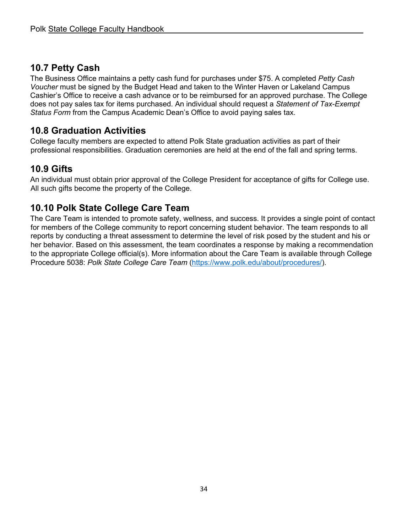### <span id="page-33-0"></span>**10.7 Petty Cash**

The Business Office maintains a petty cash fund for purchases under \$75. A completed *Petty Cash Voucher* must be signed by the Budget Head and taken to the Winter Haven or Lakeland Campus Cashier's Office to receive a cash advance or to be reimbursed for an approved purchase. The College does not pay sales tax for items purchased. An individual should request a *Statement of Tax-Exempt Status Form* from the Campus Academic Dean's Office to avoid paying sales tax.

### <span id="page-33-1"></span>**10.8 Graduation Activities**

College faculty members are expected to attend Polk State graduation activities as part of their professional responsibilities. Graduation ceremonies are held at the end of the fall and spring terms.

### <span id="page-33-2"></span>**10.9 Gifts**

An individual must obtain prior approval of the College President for acceptance of gifts for College use. All such gifts become the property of the College.

### <span id="page-33-3"></span>**10.10 Polk State College Care Team**

The Care Team is intended to promote safety, wellness, and success. It provides a single point of contact for members of the College community to report concerning student behavior. The team responds to all reports by conducting a threat assessment to determine the level of risk posed by the student and his or her behavior. Based on this assessment, the team coordinates a response by making a recommendation to the appropriate College official(s). More information about the Care Team is available through College Procedure 5038: *Polk State College Care Team* [\(https://www.polk.edu/about/procedures/\)](https://www.polk.edu/about/procedures/).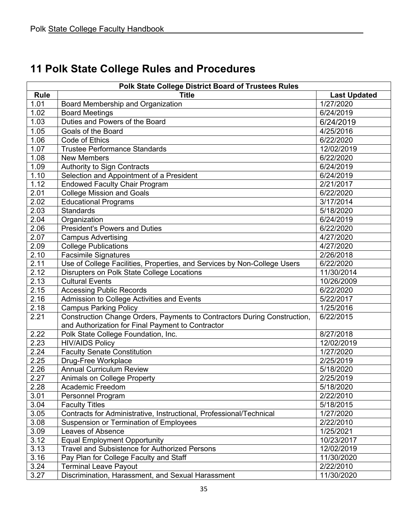<span id="page-34-0"></span>

|  |  |  |  |  |  | 11 Polk State College Rules and Procedures |
|--|--|--|--|--|--|--------------------------------------------|
|--|--|--|--|--|--|--------------------------------------------|

| Polk State College District Board of Trustees Rules |                                                                          |                     |  |  |  |
|-----------------------------------------------------|--------------------------------------------------------------------------|---------------------|--|--|--|
| <b>Rule</b>                                         | <b>Title</b>                                                             | <b>Last Updated</b> |  |  |  |
| 1.01                                                | Board Membership and Organization                                        | $\sqrt{1/27/2020}$  |  |  |  |
| 1.02                                                | <b>Board Meetings</b>                                                    | 6/24/2019           |  |  |  |
| 1.03                                                | Duties and Powers of the Board                                           | 6/24/2019           |  |  |  |
| 1.05                                                | Goals of the Board                                                       | 4/25/2016           |  |  |  |
| 1.06                                                | Code of Ethics                                                           | 6/22/2020           |  |  |  |
| 1.07                                                | <b>Trustee Performance Standards</b>                                     | 12/02/2019          |  |  |  |
| 1.08                                                | <b>New Members</b>                                                       | 6/22/2020           |  |  |  |
| 1.09                                                | Authority to Sign Contracts                                              | 6/24/2019           |  |  |  |
| 1.10                                                | Selection and Appointment of a President                                 | 6/24/2019           |  |  |  |
| 1.12                                                | <b>Endowed Faculty Chair Program</b>                                     | 2/21/2017           |  |  |  |
| 2.01                                                | <b>College Mission and Goals</b>                                         | 6/22/2020           |  |  |  |
| 2.02                                                | Educational Programs                                                     | 3/17/2014           |  |  |  |
| 2.03                                                | <b>Standards</b>                                                         | 5/18/2020           |  |  |  |
| 2.04                                                | Organization                                                             | 6/24/2019           |  |  |  |
| 2.06                                                | <b>President's Powers and Duties</b>                                     | 6/22/2020           |  |  |  |
| 2.07                                                | <b>Campus Advertising</b>                                                | 4/27/2020           |  |  |  |
| 2.09                                                | <b>College Publications</b>                                              | 4/27/2020           |  |  |  |
| 2.10                                                | <b>Facsimile Signatures</b>                                              | 2/26/2018           |  |  |  |
| $\overline{2.11}$                                   | Use of College Facilities, Properties, and Services by Non-College Users | 6/22/2020           |  |  |  |
| 2.12                                                | Disrupters on Polk State College Locations                               | 11/30/2014          |  |  |  |
| 2.13                                                | <b>Cultural Events</b>                                                   | 10/26/2009          |  |  |  |
| 2.15                                                | <b>Accessing Public Records</b>                                          | 6/22/2020           |  |  |  |
| 2.16                                                | Admission to College Activities and Events                               | 5/22/2017           |  |  |  |
| 2.18                                                | <b>Campus Parking Policy</b>                                             | 1/25/2016           |  |  |  |
| 2.21                                                | Construction Change Orders, Payments to Contractors During Construction, | 6/22/2015           |  |  |  |
|                                                     | and Authorization for Final Payment to Contractor                        |                     |  |  |  |
| 2.22                                                | Polk State College Foundation, Inc.                                      | 8/27/2018           |  |  |  |
| 2.23                                                | <b>HIV/AIDS Policy</b>                                                   | 12/02/2019          |  |  |  |
| 2.24                                                | <b>Faculty Senate Constitution</b>                                       | 1/27/2020           |  |  |  |
| $\overline{2.25}$                                   | Drug-Free Workplace                                                      | 2/25/2019           |  |  |  |
| 2.26                                                | <b>Annual Curriculum Review</b>                                          | 5/18/2020           |  |  |  |
| 2.27                                                | Animals on College Property                                              | 2/25/2019           |  |  |  |
| 2.28                                                | Academic Freedom                                                         | 5/18/2020           |  |  |  |
| 3.01                                                | Personnel Program                                                        | 2/22/2010           |  |  |  |
| 3.04                                                | <b>Faculty Titles</b>                                                    | 5/18/2015           |  |  |  |
| 3.05                                                | Contracts for Administrative, Instructional, Professional/Technical      | 1/27/2020           |  |  |  |
| 3.08                                                | <b>Suspension or Termination of Employees</b>                            | 2/22/2010           |  |  |  |
| 3.09                                                | Leaves of Absence                                                        | 1/25/2021           |  |  |  |
| 3.12                                                | <b>Equal Employment Opportunity</b>                                      | 10/23/2017          |  |  |  |
| 3.13                                                | Travel and Subsistence for Authorized Persons                            | 12/02/2019          |  |  |  |
| 3.16                                                | Pay Plan for College Faculty and Staff                                   | 11/30/2020          |  |  |  |
| 3.24                                                | <b>Terminal Leave Payout</b>                                             | 2/22/2010           |  |  |  |
| 3.27                                                | Discrimination, Harassment, and Sexual Harassment                        | 11/30/2020          |  |  |  |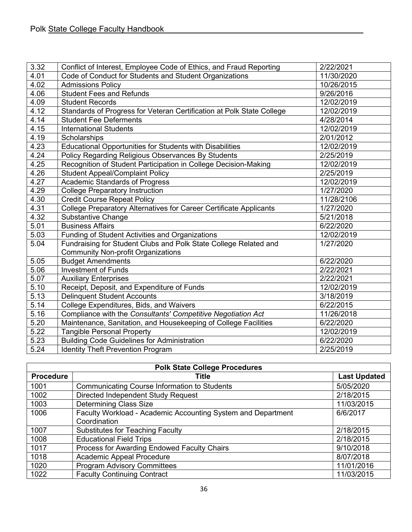| 3.32 | Conflict of Interest, Employee Code of Ethics, and Fraud Reporting    | 2/22/2021  |
|------|-----------------------------------------------------------------------|------------|
| 4.01 | Code of Conduct for Students and Student Organizations                | 11/30/2020 |
| 4.02 | <b>Admissions Policy</b>                                              | 10/26/2015 |
| 4.06 | <b>Student Fees and Refunds</b>                                       | 9/26/2016  |
| 4.09 | <b>Student Records</b>                                                | 12/02/2019 |
| 4.12 | Standards of Progress for Veteran Certification at Polk State College | 12/02/2019 |
| 4.14 | <b>Student Fee Deferments</b>                                         | 4/28/2014  |
| 4.15 | <b>International Students</b>                                         | 12/02/2019 |
| 4.19 | Scholarships                                                          | 2/01/2012  |
| 4.23 | Educational Opportunities for Students with Disabilities              | 12/02/2019 |
| 4.24 | Policy Regarding Religious Observances By Students                    | 2/25/2019  |
| 4.25 | Recognition of Student Participation in College Decision-Making       | 12/02/2019 |
| 4.26 | <b>Student Appeal/Complaint Policy</b>                                | 2/25/2019  |
| 4.27 | <b>Academic Standards of Progress</b>                                 | 12/02/2019 |
| 4.29 | <b>College Preparatory Instruction</b>                                | 1/27/2020  |
| 4.30 | <b>Credit Course Repeat Policy</b>                                    | 11/28/2106 |
| 4.31 | College Preparatory Alternatives for Career Certificate Applicants    | 1/27/2020  |
| 4.32 | <b>Substantive Change</b>                                             | 5/21/2018  |
| 5.01 | <b>Business Affairs</b>                                               | 6/22/2020  |
| 5.03 | <b>Funding of Student Activities and Organizations</b>                | 12/02/2019 |
| 5.04 | Fundraising for Student Clubs and Polk State College Related and      | 1/27/2020  |
|      | <b>Community Non-profit Organizations</b>                             |            |
| 5.05 | <b>Budget Amendments</b>                                              | 6/22/2020  |
| 5.06 | <b>Investment of Funds</b>                                            | 2/22/2021  |
| 5.07 | <b>Auxiliary Enterprises</b>                                          | 2/22/2021  |
| 5.10 | Receipt, Deposit, and Expenditure of Funds                            | 12/02/2019 |
| 5.13 | <b>Delinquent Student Accounts</b>                                    | 3/18/2019  |
| 5.14 | College Expenditures, Bids, and Waivers                               | 6/22/2015  |
| 5.16 | Compliance with the Consultants' Competitive Negotiation Act          | 11/26/2018 |
| 5.20 | Maintenance, Sanitation, and Housekeeping of College Facilities       | 6/22/2020  |
| 5.22 | <b>Tangible Personal Property</b>                                     | 12/02/2019 |
| 5.23 | <b>Building Code Guidelines for Administration</b>                    | 6/22/2020  |
| 5.24 | <b>Identity Theft Prevention Program</b>                              | 2/25/2019  |

| <b>Polk State College Procedures</b> |                                                              |                     |  |
|--------------------------------------|--------------------------------------------------------------|---------------------|--|
| <b>Procedure</b>                     | Title                                                        | <b>Last Updated</b> |  |
| 1001                                 | <b>Communicating Course Information to Students</b>          | 5/05/2020           |  |
| 1002                                 | Directed Independent Study Request                           | 2/18/2015           |  |
| 1003                                 | <b>Determining Class Size</b>                                | 11/03/2015          |  |
| 1006                                 | Faculty Workload - Academic Accounting System and Department | 6/6/2017            |  |
|                                      | Coordination                                                 |                     |  |
| 1007                                 | <b>Substitutes for Teaching Faculty</b>                      | 2/18/2015           |  |
| 1008                                 | <b>Educational Field Trips</b>                               | 2/18/2015           |  |
| 1017                                 | Process for Awarding Endowed Faculty Chairs                  | 9/10/2018           |  |
| 1018                                 | Academic Appeal Procedure                                    | 8/07/2018           |  |
| 1020                                 | <b>Program Advisory Committees</b>                           | 11/01/2016          |  |
| 1022                                 | <b>Faculty Continuing Contract</b>                           | 11/03/2015          |  |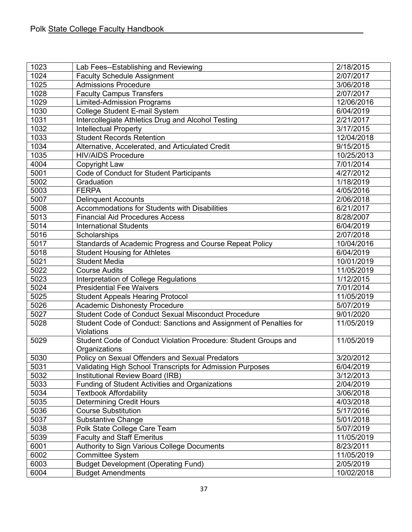| 1023 | Lab Fees--Establishing and Reviewing                                                    | 2/18/2015  |
|------|-----------------------------------------------------------------------------------------|------------|
| 1024 | <b>Faculty Schedule Assignment</b>                                                      | 2/07/2017  |
| 1025 | <b>Admissions Procedure</b>                                                             | 3/06/2018  |
| 1028 | <b>Faculty Campus Transfers</b>                                                         | 2/07/2017  |
| 1029 | <b>Limited-Admission Programs</b>                                                       | 12/06/2016 |
| 1030 | College Student E-mail System                                                           | 6/04/2019  |
| 1031 | Intercollegiate Athletics Drug and Alcohol Testing                                      | 2/21/2017  |
| 1032 | <b>Intellectual Property</b>                                                            | 3/17/2015  |
| 1033 | <b>Student Records Retention</b>                                                        | 12/04/2018 |
| 1034 | Alternative, Accelerated, and Articulated Credit                                        | 9/15/2015  |
| 1035 | <b>HIV/AIDS Procedure</b>                                                               | 10/25/2013 |
| 4004 | Copyright Law                                                                           | 7/01/2014  |
| 5001 | Code of Conduct for Student Participants                                                | 4/27/2012  |
| 5002 | Graduation                                                                              | 1/18/2019  |
| 5003 | <b>FERPA</b>                                                                            | 4/05/2016  |
| 5007 | <b>Delinquent Accounts</b>                                                              | 2/06/2018  |
| 5008 | Accommodations for Students with Disabilities                                           | 6/21/2017  |
| 5013 | <b>Financial Aid Procedures Access</b>                                                  | 8/28/2007  |
| 5014 | <b>International Students</b>                                                           | 6/04/2019  |
| 5016 | Scholarships                                                                            | 2/07/2018  |
| 5017 | Standards of Academic Progress and Course Repeat Policy                                 | 10/04/2016 |
| 5018 | <b>Student Housing for Athletes</b>                                                     | 6/04/2019  |
| 5021 | <b>Student Media</b>                                                                    | 10/01/2019 |
| 5022 | <b>Course Audits</b>                                                                    | 11/05/2019 |
| 5023 | Interpretation of College Regulations                                                   | 1/12/2015  |
| 5024 | <b>Presidential Fee Waivers</b>                                                         | 7/01/2014  |
| 5025 | <b>Student Appeals Hearing Protocol</b>                                                 | 11/05/2019 |
| 5026 | <b>Academic Dishonesty Procedure</b>                                                    | 5/07/2019  |
| 5027 | <b>Student Code of Conduct Sexual Misconduct Procedure</b>                              | 9/01/2020  |
| 5028 | Student Code of Conduct: Sanctions and Assignment of Penalties for<br><b>Violations</b> | 11/05/2019 |
| 5029 | Student Code of Conduct Violation Procedure: Student Groups and<br>Organizations        | 11/05/2019 |
| 5030 | Policy on Sexual Offenders and Sexual Predators                                         | 3/20/2012  |
| 5031 | Validating High School Transcripts for Admission Purposes                               | 6/04/2019  |
| 5032 | Institutional Review Board (IRB)                                                        | 3/12/2013  |
| 5033 | <b>Funding of Student Activities and Organizations</b>                                  | 2/04/2019  |
| 5034 | <b>Textbook Affordability</b>                                                           | 3/06/2018  |
| 5035 | <b>Determining Credit Hours</b>                                                         | 4/03/2018  |
| 5036 | <b>Course Substitution</b>                                                              | 5/17/2016  |
| 5037 | <b>Substantive Change</b>                                                               | 5/01/2018  |
| 5038 | Polk State College Care Team                                                            | 5/07/2019  |
| 5039 | <b>Faculty and Staff Emeritus</b>                                                       | 11/05/2019 |
| 6001 | Authority to Sign Various College Documents                                             | 8/23/2011  |
| 6002 | <b>Committee System</b>                                                                 | 11/05/2019 |
| 6003 | <b>Budget Development (Operating Fund)</b>                                              | 2/05/2019  |
| 6004 | <b>Budget Amendments</b>                                                                | 10/02/2018 |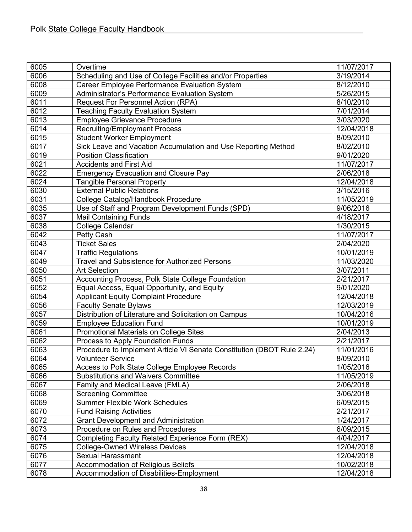| 6005 | Overtime                                                               | 11/07/2017 |
|------|------------------------------------------------------------------------|------------|
| 6006 | Scheduling and Use of College Facilities and/or Properties             | 3/19/2014  |
| 6008 | <b>Career Employee Performance Evaluation System</b>                   | 8/12/2010  |
| 6009 | Administrator's Performance Evaluation System                          | 5/26/2015  |
| 6011 | Request For Personnel Action (RPA)                                     | 8/10/2010  |
| 6012 | <b>Teaching Faculty Evaluation System</b>                              | 7/01/2014  |
| 6013 | <b>Employee Grievance Procedure</b>                                    | 3/03/2020  |
| 6014 | <b>Recruiting/Employment Process</b>                                   | 12/04/2018 |
| 6015 | Student Worker Employment                                              | 8/09/2010  |
| 6017 | Sick Leave and Vacation Accumulation and Use Reporting Method          | 8/02/2010  |
| 6019 | <b>Position Classification</b>                                         | 9/01/2020  |
| 6021 | <b>Accidents and First Aid</b>                                         | 11/07/2017 |
| 6022 | <b>Emergency Evacuation and Closure Pay</b>                            | 2/06/2018  |
| 6024 | <b>Tangible Personal Property</b>                                      | 12/04/2018 |
| 6030 | <b>External Public Relations</b>                                       | 3/15/2016  |
| 6031 | College Catalog/Handbook Procedure                                     | 11/05/2019 |
| 6035 | Use of Staff and Program Development Funds (SPD)                       | 9/06/2016  |
| 6037 | <b>Mail Containing Funds</b>                                           | 4/18/2017  |
| 6038 | College Calendar                                                       | 1/30/2015  |
| 6042 | Petty Cash                                                             | 11/07/2017 |
| 6043 | <b>Ticket Sales</b>                                                    | 2/04/2020  |
| 6047 | <b>Traffic Regulations</b>                                             | 10/01/2019 |
| 6049 | <b>Travel and Subsistence for Authorized Persons</b>                   | 11/03/2020 |
| 6050 | <b>Art Selection</b>                                                   | 3/07/2011  |
| 6051 | Accounting Process, Polk State College Foundation                      | 2/21/2017  |
| 6052 | Equal Access, Equal Opportunity, and Equity                            | 9/01/2020  |
| 6054 | <b>Applicant Equity Complaint Procedure</b>                            | 12/04/2018 |
| 6056 | <b>Faculty Senate Bylaws</b>                                           | 12/03/2019 |
| 6057 | Distribution of Literature and Solicitation on Campus                  | 10/04/2016 |
| 6059 | <b>Employee Education Fund</b>                                         | 10/01/2019 |
| 6061 | Promotional Materials on College Sites                                 | 2/04/2013  |
| 6062 | Process to Apply Foundation Funds                                      | 2/21/2017  |
| 6063 | Procedure to Implement Article VI Senate Constitution (DBOT Rule 2.24) | 11/01/2016 |
| 6064 | <b>Volunteer Service</b>                                               | 8/09/2010  |
| 6065 | Access to Polk State College Employee Records                          | 1/05/2016  |
| 6066 | <b>Substitutions and Waivers Committee</b>                             | 11/05/2019 |
| 6067 | Family and Medical Leave (FMLA)                                        | 2/06/2018  |
| 6068 | <b>Screening Committee</b>                                             | 3/06/2018  |
| 6069 | <b>Summer Flexible Work Schedules</b>                                  | 6/09/2015  |
| 6070 | <b>Fund Raising Activities</b>                                         | 2/21/2017  |
| 6072 | <b>Grant Development and Administration</b>                            | 1/24/2017  |
| 6073 | Procedure on Rules and Procedures                                      | 6/09/2015  |
| 6074 | Completing Faculty Related Experience Form (REX)                       | 4/04/2017  |
| 6075 | <b>College-Owned Wireless Devices</b>                                  | 12/04/2018 |
| 6076 | <b>Sexual Harassment</b>                                               | 12/04/2018 |
| 6077 | Accommodation of Religious Beliefs                                     | 10/02/2018 |
| 6078 | Accommodation of Disabilities-Employment                               | 12/04/2018 |